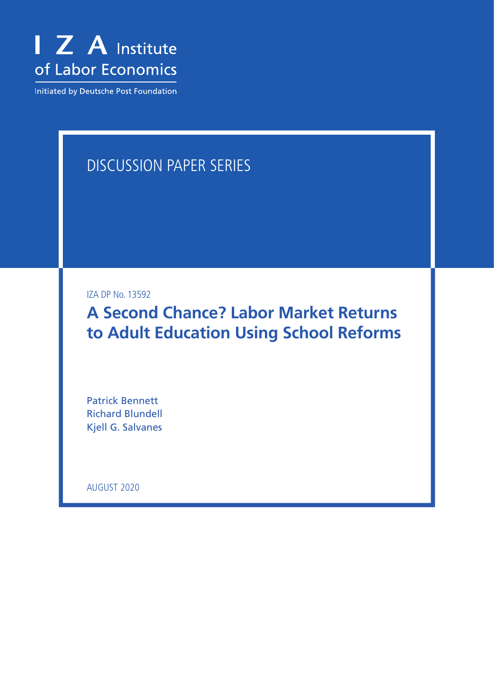

Initiated by Deutsche Post Foundation

# DISCUSSION PAPER SERIES

IZA DP No. 13592

**A Second Chance? Labor Market Returns to Adult Education Using School Reforms**

Patrick Bennett Richard Blundell Kjell G. Salvanes

AUGUST 2020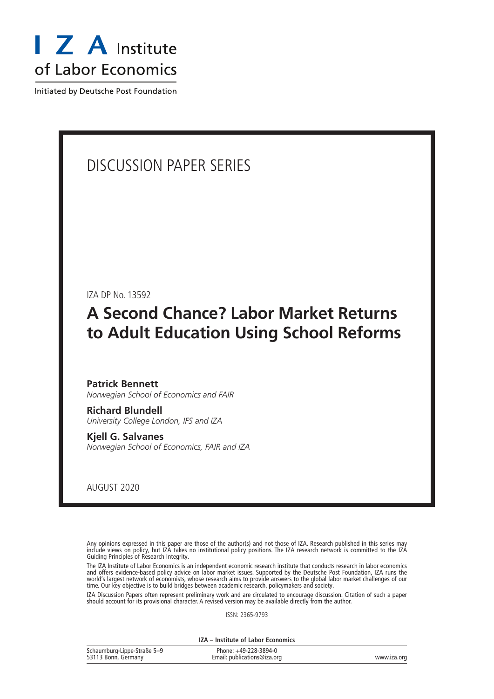

Initiated by Deutsche Post Foundation

# DISCUSSION PAPER SERIES

IZA DP No. 13592

# **A Second Chance? Labor Market Returns to Adult Education Using School Reforms**

#### **Patrick Bennett** *Norwegian School of Economics and FAIR*

**Richard Blundell** *University College London, IFS and IZA*

**Kjell G. Salvanes** *Norwegian School of Economics, FAIR and IZA*

AUGUST 2020

Any opinions expressed in this paper are those of the author(s) and not those of IZA. Research published in this series may include views on policy, but IZA takes no institutional policy positions. The IZA research network is committed to the IZA Guiding Principles of Research Integrity.

The IZA Institute of Labor Economics is an independent economic research institute that conducts research in labor economics and offers evidence-based policy advice on labor market issues. Supported by the Deutsche Post Foundation, IZA runs the world's largest network of economists, whose research aims to provide answers to the global labor market challenges of our time. Our key objective is to build bridges between academic research, policymakers and society.

IZA Discussion Papers often represent preliminary work and are circulated to encourage discussion. Citation of such a paper should account for its provisional character. A revised version may be available directly from the author.

ISSN: 2365-9793

**IZA – Institute of Labor Economics**

| Schaumburg-Lippe-Straße 5-9 | Phone: +49-228-3894-0       |             |
|-----------------------------|-----------------------------|-------------|
| 53113 Bonn, Germany         | Email: publications@iza.org | www.iza.org |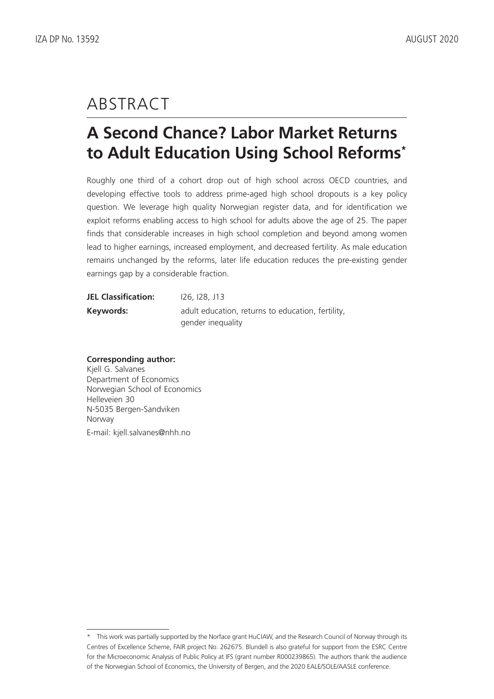# ABSTRACT

# **A Second Chance? Labor Market Returns to Adult Education Using School Reforms\***

Roughly one third of a cohort drop out of high school across OECD countries, and developing effective tools to address prime-aged high school dropouts is a key policy question. We leverage high quality Norwegian register data, and for identification we exploit reforms enabling access to high school for adults above the age of 25. The paper finds that considerable increases in high school completion and beyond among women lead to higher earnings, increased employment, and decreased fertility. As male education remains unchanged by the reforms, later life education reduces the pre-existing gender earnings gap by a considerable fraction.

| <b>JEL Classification:</b> | <u>126, 128, J13</u>                              |
|----------------------------|---------------------------------------------------|
| Keywords:                  | adult education, returns to education, fertility, |
|                            | gender inequality                                 |

#### **Corresponding author:**

Kjell G. Salvanes Department of Economics Norwegian School of Economics Helleveien 30 N-5035 Bergen-Sandviken Norway E-mail: kjell.salvanes@nhh.no

<sup>\*</sup> This work was partially supported by the Norface grant HuCIAW, and the Research Council of Norway through its Centres of Excellence Scheme, FAIR project No. 262675. Blundell is also grateful for support from the ESRC Centre for the Microeconomic Analysis of Public Policy at IFS (grant number R000239865). The authors thank the audience of the Norwegian School of Economics, the University of Bergen, and the 2020 EALE/SOLE/AASLE conference.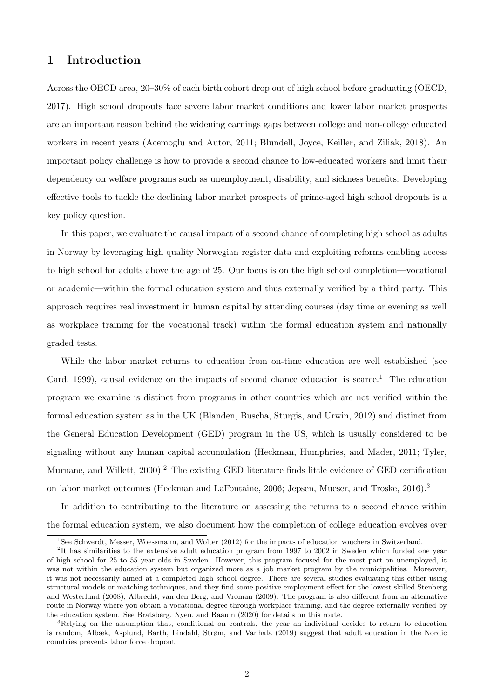### 1 Introduction

Across the OECD area, 20–30% of each birth cohort drop out of high school before graduating [\(OECD,](#page-52-0) [2017\)](#page-52-0). High school dropouts face severe labor market conditions and lower labor market prospects are an important reason behind the widening earnings gaps between college and non-college educated workers in recent years [\(Acemoglu and Autor, 2011;](#page-48-0) [Blundell, Joyce, Keiller, and Ziliak, 2018\)](#page-49-0). An important policy challenge is how to provide a second chance to low-educated workers and limit their dependency on welfare programs such as unemployment, disability, and sickness benefits. Developing effective tools to tackle the declining labor market prospects of prime-aged high school dropouts is a key policy question.

In this paper, we evaluate the causal impact of a second chance of completing high school as adults in Norway by leveraging high quality Norwegian register data and exploiting reforms enabling access to high school for adults above the age of 25. Our focus is on the high school completion—vocational or academic—within the formal education system and thus externally verified by a third party. This approach requires real investment in human capital by attending courses (day time or evening as well as workplace training for the vocational track) within the formal education system and nationally graded tests.

While the labor market returns to education from on-time education are well established (see [Card, 1999\)](#page-50-0), causal evidence on the impacts of second chance education is scarce.<sup>[1](#page--1-0)</sup> The education program we examine is distinct from programs in other countries which are not verified within the formal education system as in the UK [\(Blanden, Buscha, Sturgis, and Urwin, 2012\)](#page-49-1) and distinct from the General Education Development (GED) program in the US, which is usually considered to be signaling without any human capital accumulation [\(Heckman, Humphries, and Mader, 2011;](#page-51-0) [Tyler,](#page-52-1) [Murnane, and Willett, 2000\)](#page-52-1).<sup>[2](#page--1-0)</sup> The existing GED literature finds little evidence of GED certification on labor market outcomes [\(Heckman and LaFontaine, 2006;](#page-51-1) [Jepsen, Mueser, and Troske, 2016\)](#page-51-2).[3](#page--1-0)

In addition to contributing to the literature on assessing the returns to a second chance within the formal education system, we also document how the completion of college education evolves over

<sup>1</sup>See [Schwerdt, Messer, Woessmann, and Wolter](#page-52-2) [\(2012\)](#page-52-2) for the impacts of education vouchers in Switzerland.

<sup>&</sup>lt;sup>2</sup>It has similarities to the extensive adult education program from 1997 to 2002 in Sweden which funded one year of high school for 25 to 55 year olds in Sweden. However, this program focused for the most part on unemployed, it was not within the education system but organized more as a job market program by the municipalities. Moreover, it was not necessarily aimed at a completed high school degree. There are several studies evaluating this either using structural models or matching techniques, and they find some positive employment effect for the lowest skilled [Stenberg](#page-52-3) [and Westerlund](#page-52-3) [\(2008\)](#page-52-3); [Albrecht, van den Berg, and Vroman](#page-48-1) [\(2009\)](#page-48-1). The program is also different from an alternative route in Norway where you obtain a vocational degree through workplace training, and the degree externally verified by the education system. See [Bratsberg, Nyen, and Raaum](#page-50-1) [\(2020\)](#page-50-1) for details on this route.

<sup>3</sup>Relying on the assumption that, conditional on controls, the year an individual decides to return to education is random, [Albæk, Asplund, Barth, Lindahl, Strøm, and Vanhala](#page-48-2) [\(2019\)](#page-48-2) suggest that adult education in the Nordic countries prevents labor force dropout.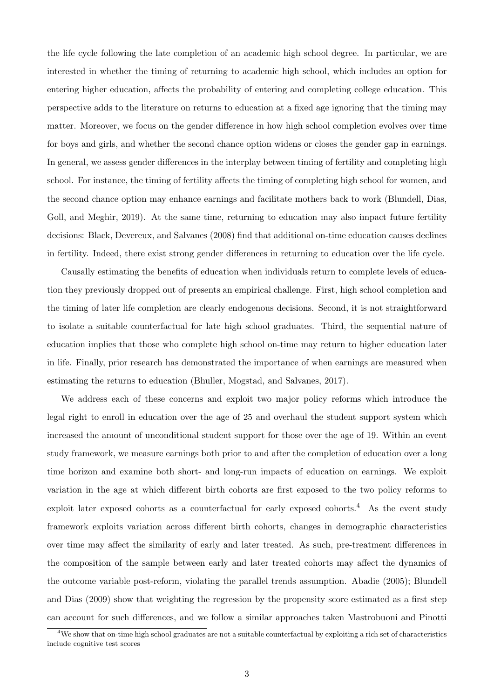the life cycle following the late completion of an academic high school degree. In particular, we are interested in whether the timing of returning to academic high school, which includes an option for entering higher education, affects the probability of entering and completing college education. This perspective adds to the literature on returns to education at a fixed age ignoring that the timing may matter. Moreover, we focus on the gender difference in how high school completion evolves over time for boys and girls, and whether the second chance option widens or closes the gender gap in earnings. In general, we assess gender differences in the interplay between timing of fertility and completing high school. For instance, the timing of fertility affects the timing of completing high school for women, and the second chance option may enhance earnings and facilitate mothers back to work [\(Blundell, Dias,](#page-49-2) [Goll, and Meghir, 2019\)](#page-49-2). At the same time, returning to education may also impact future fertility decisions: [Black, Devereux, and Salvanes](#page-49-3) [\(2008\)](#page-49-3) find that additional on-time education causes declines in fertility. Indeed, there exist strong gender differences in returning to education over the life cycle.

Causally estimating the benefits of education when individuals return to complete levels of education they previously dropped out of presents an empirical challenge. First, high school completion and the timing of later life completion are clearly endogenous decisions. Second, it is not straightforward to isolate a suitable counterfactual for late high school graduates. Third, the sequential nature of education implies that those who complete high school on-time may return to higher education later in life. Finally, prior research has demonstrated the importance of when earnings are measured when estimating the returns to education [\(Bhuller, Mogstad, and Salvanes, 2017\)](#page-49-4).

We address each of these concerns and exploit two major policy reforms which introduce the legal right to enroll in education over the age of 25 and overhaul the student support system which increased the amount of unconditional student support for those over the age of 19. Within an event study framework, we measure earnings both prior to and after the completion of education over a long time horizon and examine both short- and long-run impacts of education on earnings. We exploit variation in the age at which different birth cohorts are first exposed to the two policy reforms to exploit later exposed cohorts as a counterfactual for early exposed cohorts.<sup>[4](#page--1-0)</sup> As the event study framework exploits variation across different birth cohorts, changes in demographic characteristics over time may affect the similarity of early and later treated. As such, pre-treatment differences in the composition of the sample between early and later treated cohorts may affect the dynamics of the outcome variable post-reform, violating the parallel trends assumption. [Abadie](#page-48-3) [\(2005\)](#page-48-3); [Blundell](#page-49-5) [and Dias](#page-49-5) [\(2009\)](#page-49-5) show that weighting the regression by the propensity score estimated as a first step can account for such differences, and we follow a similar approaches taken [Mastrobuoni and Pinotti](#page-51-3)

<sup>&</sup>lt;sup>4</sup>We show that on-time high school graduates are not a suitable counterfactual by exploiting a rich set of characteristics include cognitive test scores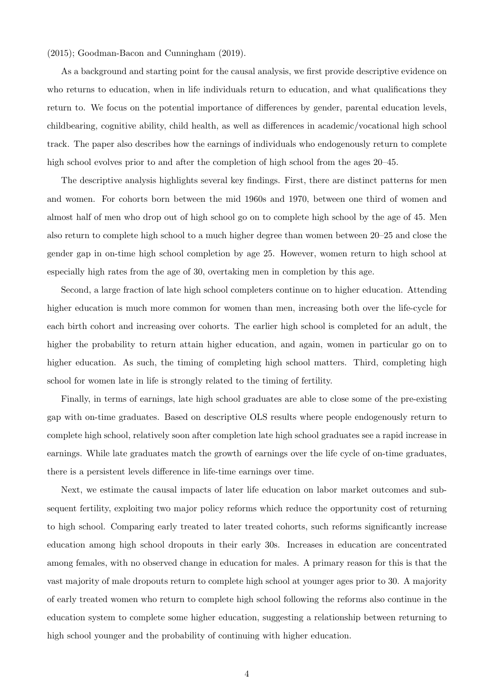[\(2015\)](#page-51-3); [Goodman-Bacon and Cunningham](#page-51-4) [\(2019\)](#page-51-4).

As a background and starting point for the causal analysis, we first provide descriptive evidence on who returns to education, when in life individuals return to education, and what qualifications they return to. We focus on the potential importance of differences by gender, parental education levels, childbearing, cognitive ability, child health, as well as differences in academic/vocational high school track. The paper also describes how the earnings of individuals who endogenously return to complete high school evolves prior to and after the completion of high school from the ages 20–45.

The descriptive analysis highlights several key findings. First, there are distinct patterns for men and women. For cohorts born between the mid 1960s and 1970, between one third of women and almost half of men who drop out of high school go on to complete high school by the age of 45. Men also return to complete high school to a much higher degree than women between 20–25 and close the gender gap in on-time high school completion by age 25. However, women return to high school at especially high rates from the age of 30, overtaking men in completion by this age.

Second, a large fraction of late high school completers continue on to higher education. Attending higher education is much more common for women than men, increasing both over the life-cycle for each birth cohort and increasing over cohorts. The earlier high school is completed for an adult, the higher the probability to return attain higher education, and again, women in particular go on to higher education. As such, the timing of completing high school matters. Third, completing high school for women late in life is strongly related to the timing of fertility.

Finally, in terms of earnings, late high school graduates are able to close some of the pre-existing gap with on-time graduates. Based on descriptive OLS results where people endogenously return to complete high school, relatively soon after completion late high school graduates see a rapid increase in earnings. While late graduates match the growth of earnings over the life cycle of on-time graduates, there is a persistent levels difference in life-time earnings over time.

Next, we estimate the causal impacts of later life education on labor market outcomes and subsequent fertility, exploiting two major policy reforms which reduce the opportunity cost of returning to high school. Comparing early treated to later treated cohorts, such reforms significantly increase education among high school dropouts in their early 30s. Increases in education are concentrated among females, with no observed change in education for males. A primary reason for this is that the vast majority of male dropouts return to complete high school at younger ages prior to 30. A majority of early treated women who return to complete high school following the reforms also continue in the education system to complete some higher education, suggesting a relationship between returning to high school younger and the probability of continuing with higher education.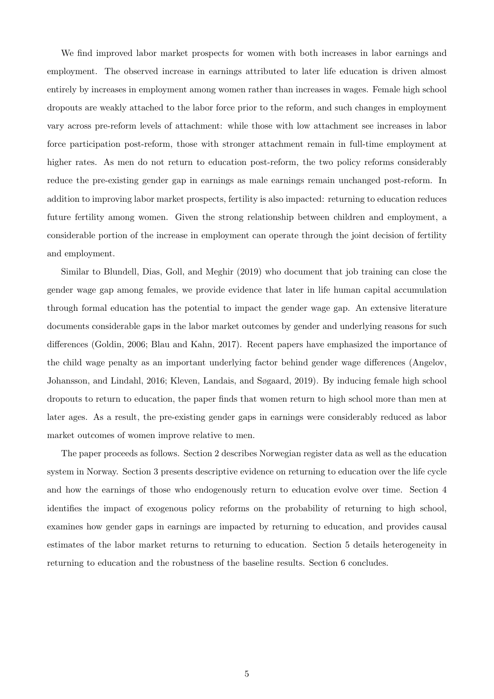We find improved labor market prospects for women with both increases in labor earnings and employment. The observed increase in earnings attributed to later life education is driven almost entirely by increases in employment among women rather than increases in wages. Female high school dropouts are weakly attached to the labor force prior to the reform, and such changes in employment vary across pre-reform levels of attachment: while those with low attachment see increases in labor force participation post-reform, those with stronger attachment remain in full-time employment at higher rates. As men do not return to education post-reform, the two policy reforms considerably reduce the pre-existing gender gap in earnings as male earnings remain unchanged post-reform. In addition to improving labor market prospects, fertility is also impacted: returning to education reduces future fertility among women. Given the strong relationship between children and employment, a considerable portion of the increase in employment can operate through the joint decision of fertility and employment.

Similar to [Blundell, Dias, Goll, and Meghir](#page-49-2) [\(2019\)](#page-49-2) who document that job training can close the gender wage gap among females, we provide evidence that later in life human capital accumulation through formal education has the potential to impact the gender wage gap. An extensive literature documents considerable gaps in the labor market outcomes by gender and underlying reasons for such differences [\(Goldin, 2006;](#page-50-2) [Blau and Kahn, 2017\)](#page-49-6). Recent papers have emphasized the importance of the child wage penalty as an important underlying factor behind gender wage differences [\(Angelov,](#page-49-7) [Johansson, and Lindahl, 2016;](#page-49-7) [Kleven, Landais, and Søgaard, 2019\)](#page-51-5). By inducing female high school dropouts to return to education, the paper finds that women return to high school more than men at later ages. As a result, the pre-existing gender gaps in earnings were considerably reduced as labor market outcomes of women improve relative to men.

The paper proceeds as follows. Section [2](#page-7-0) describes Norwegian register data as well as the education system in Norway. Section [3](#page-9-0) presents descriptive evidence on returning to education over the life cycle and how the earnings of those who endogenously return to education evolve over time. Section [4](#page-25-0) identifies the impact of exogenous policy reforms on the probability of returning to high school, examines how gender gaps in earnings are impacted by returning to education, and provides causal estimates of the labor market returns to returning to education. Section [5](#page-44-0) details heterogeneity in returning to education and the robustness of the baseline results. Section [6](#page-47-0) concludes.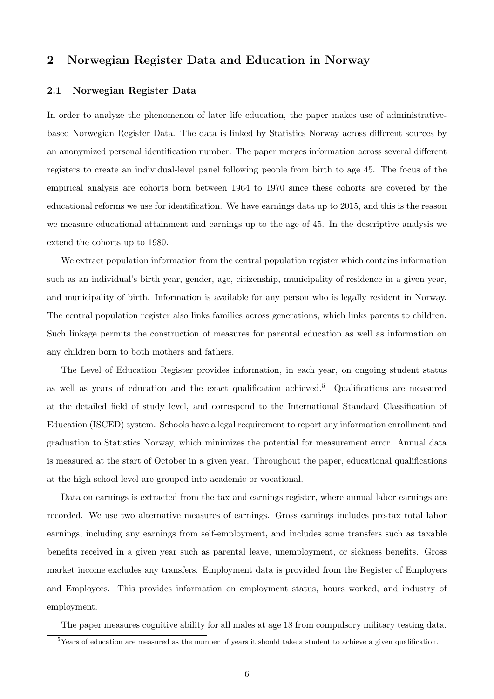### <span id="page-7-0"></span>2 Norwegian Register Data and Education in Norway

#### 2.1 Norwegian Register Data

In order to analyze the phenomenon of later life education, the paper makes use of administrativebased Norwegian Register Data. The data is linked by Statistics Norway across different sources by an anonymized personal identification number. The paper merges information across several different registers to create an individual-level panel following people from birth to age 45. The focus of the empirical analysis are cohorts born between 1964 to 1970 since these cohorts are covered by the educational reforms we use for identification. We have earnings data up to 2015, and this is the reason we measure educational attainment and earnings up to the age of 45. In the descriptive analysis we extend the cohorts up to 1980.

We extract population information from the central population register which contains information such as an individual's birth year, gender, age, citizenship, municipality of residence in a given year, and municipality of birth. Information is available for any person who is legally resident in Norway. The central population register also links families across generations, which links parents to children. Such linkage permits the construction of measures for parental education as well as information on any children born to both mothers and fathers.

The Level of Education Register provides information, in each year, on ongoing student status as well as years of education and the exact qualification achieved.[5](#page--1-0) Qualifications are measured at the detailed field of study level, and correspond to the International Standard Classification of Education (ISCED) system. Schools have a legal requirement to report any information enrollment and graduation to Statistics Norway, which minimizes the potential for measurement error. Annual data is measured at the start of October in a given year. Throughout the paper, educational qualifications at the high school level are grouped into academic or vocational.

Data on earnings is extracted from the tax and earnings register, where annual labor earnings are recorded. We use two alternative measures of earnings. Gross earnings includes pre-tax total labor earnings, including any earnings from self-employment, and includes some transfers such as taxable benefits received in a given year such as parental leave, unemployment, or sickness benefits. Gross market income excludes any transfers. Employment data is provided from the Register of Employers and Employees. This provides information on employment status, hours worked, and industry of employment.

The paper measures cognitive ability for all males at age 18 from compulsory military testing data.

<sup>&</sup>lt;sup>5</sup>Years of education are measured as the number of years it should take a student to achieve a given qualification.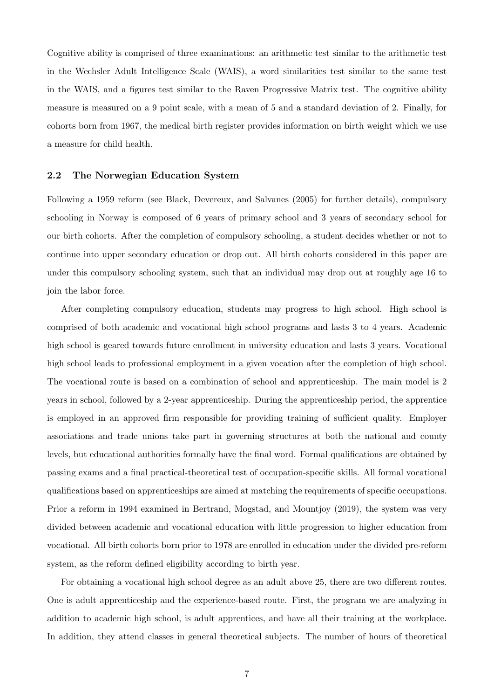Cognitive ability is comprised of three examinations: an arithmetic test similar to the arithmetic test in the Wechsler Adult Intelligence Scale (WAIS), a word similarities test similar to the same test in the WAIS, and a figures test similar to the Raven Progressive Matrix test. The cognitive ability measure is measured on a 9 point scale, with a mean of 5 and a standard deviation of 2. Finally, for cohorts born from 1967, the medical birth register provides information on birth weight which we use a measure for child health.

#### 2.2 The Norwegian Education System

Following a 1959 reform (see [Black, Devereux, and Salvanes](#page-49-8) [\(2005\)](#page-49-8) for further details), compulsory schooling in Norway is composed of 6 years of primary school and 3 years of secondary school for our birth cohorts. After the completion of compulsory schooling, a student decides whether or not to continue into upper secondary education or drop out. All birth cohorts considered in this paper are under this compulsory schooling system, such that an individual may drop out at roughly age 16 to join the labor force.

After completing compulsory education, students may progress to high school. High school is comprised of both academic and vocational high school programs and lasts 3 to 4 years. Academic high school is geared towards future enrollment in university education and lasts 3 years. Vocational high school leads to professional employment in a given vocation after the completion of high school. The vocational route is based on a combination of school and apprenticeship. The main model is 2 years in school, followed by a 2-year apprenticeship. During the apprenticeship period, the apprentice is employed in an approved firm responsible for providing training of sufficient quality. Employer associations and trade unions take part in governing structures at both the national and county levels, but educational authorities formally have the final word. Formal qualifications are obtained by passing exams and a final practical-theoretical test of occupation-specific skills. All formal vocational qualifications based on apprenticeships are aimed at matching the requirements of specific occupations. Prior a reform in 1994 examined in [Bertrand, Mogstad, and Mountjoy](#page-49-9) [\(2019\)](#page-49-9), the system was very divided between academic and vocational education with little progression to higher education from vocational. All birth cohorts born prior to 1978 are enrolled in education under the divided pre-reform system, as the reform defined eligibility according to birth year.

For obtaining a vocational high school degree as an adult above 25, there are two different routes. One is adult apprenticeship and the experience-based route. First, the program we are analyzing in addition to academic high school, is adult apprentices, and have all their training at the workplace. In addition, they attend classes in general theoretical subjects. The number of hours of theoretical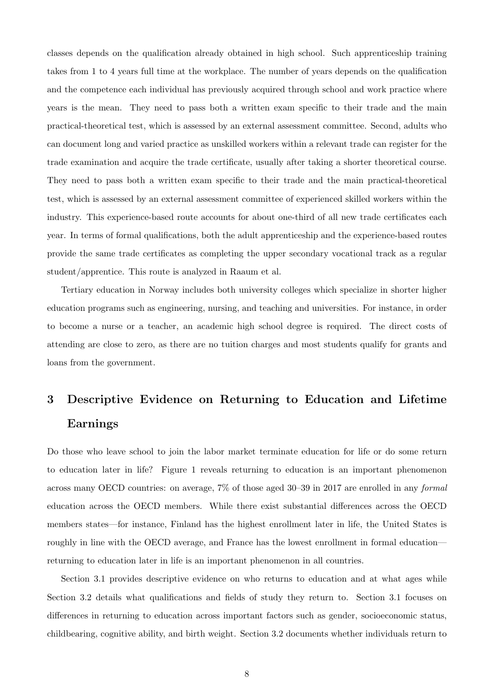classes depends on the qualification already obtained in high school. Such apprenticeship training takes from 1 to 4 years full time at the workplace. The number of years depends on the qualification and the competence each individual has previously acquired through school and work practice where years is the mean. They need to pass both a written exam specific to their trade and the main practical-theoretical test, which is assessed by an external assessment committee. Second, adults who can document long and varied practice as unskilled workers within a relevant trade can register for the trade examination and acquire the trade certificate, usually after taking a shorter theoretical course. They need to pass both a written exam specific to their trade and the main practical-theoretical test, which is assessed by an external assessment committee of experienced skilled workers within the industry. This experience-based route accounts for about one-third of all new trade certificates each year. In terms of formal qualifications, both the adult apprenticeship and the experience-based routes provide the same trade certificates as completing the upper secondary vocational track as a regular student/apprentice. This route is analyzed in Raaum et al.

Tertiary education in Norway includes both university colleges which specialize in shorter higher education programs such as engineering, nursing, and teaching and universities. For instance, in order to become a nurse or a teacher, an academic high school degree is required. The direct costs of attending are close to zero, as there are no tuition charges and most students qualify for grants and loans from the government.

# <span id="page-9-0"></span>3 Descriptive Evidence on Returning to Education and Lifetime Earnings

Do those who leave school to join the labor market terminate education for life or do some return to education later in life? Figure [1](#page-10-0) reveals returning to education is an important phenomenon across many OECD countries: on average, 7% of those aged 30–39 in 2017 are enrolled in any formal education across the OECD members. While there exist substantial differences across the OECD members states—for instance, Finland has the highest enrollment later in life, the United States is roughly in line with the OECD average, and France has the lowest enrollment in formal education returning to education later in life is an important phenomenon in all countries.

Section [3.1](#page-10-1) provides descriptive evidence on who returns to education and at what ages while Section [3.2](#page-16-0) details what qualifications and fields of study they return to. Section [3.1](#page-10-1) focuses on differences in returning to education across important factors such as gender, socioeconomic status, childbearing, cognitive ability, and birth weight. Section [3.2](#page-16-0) documents whether individuals return to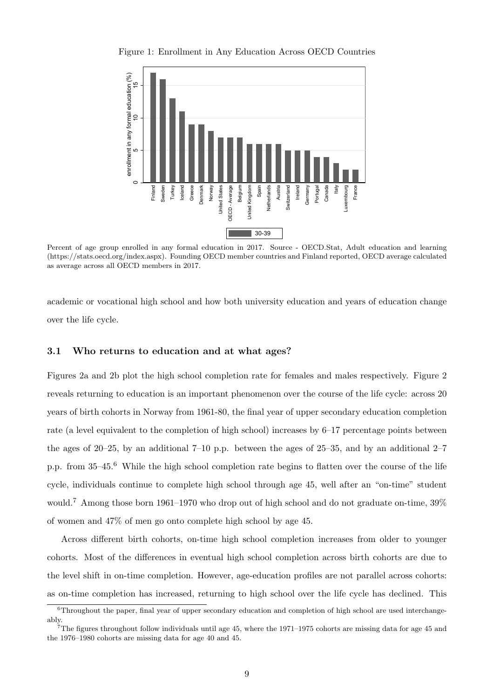

<span id="page-10-0"></span>Figure 1: Enrollment in Any Education Across OECD Countries

Percent of age group enrolled in any formal education in 2017. Source - OECD.Stat, Adult education and learning (https://stats.oecd.org/index.aspx). Founding OECD member countries and Finland reported, OECD average calculated as average across all OECD members in 2017.

academic or vocational high school and how both university education and years of education change over the life cycle.

#### <span id="page-10-1"></span>3.1 Who returns to education and at what ages?

Figures [2a](#page-11-0) and [2b](#page-11-0) plot the high school completion rate for females and males respectively. Figure [2](#page-11-0) reveals returning to education is an important phenomenon over the course of the life cycle: across 20 years of birth cohorts in Norway from 1961-80, the final year of upper secondary education completion rate (a level equivalent to the completion of high school) increases by 6–17 percentage points between the ages of 20–25, by an additional 7–10 p.p. between the ages of 25–35, and by an additional 2–7 p.p. from 35–45.[6](#page--1-0) While the high school completion rate begins to flatten over the course of the life cycle, individuals continue to complete high school through age 45, well after an "on-time" student would.[7](#page--1-0) Among those born 1961–1970 who drop out of high school and do not graduate on-time, 39% of women and 47% of men go onto complete high school by age 45.

Across different birth cohorts, on-time high school completion increases from older to younger cohorts. Most of the differences in eventual high school completion across birth cohorts are due to the level shift in on-time completion. However, age-education profiles are not parallel across cohorts: as on-time completion has increased, returning to high school over the life cycle has declined. This

<sup>6</sup>Throughout the paper, final year of upper secondary education and completion of high school are used interchangeably.

 $7$ The figures throughout follow individuals until age 45, where the 1971–1975 cohorts are missing data for age 45 and the 1976–1980 cohorts are missing data for age 40 and 45.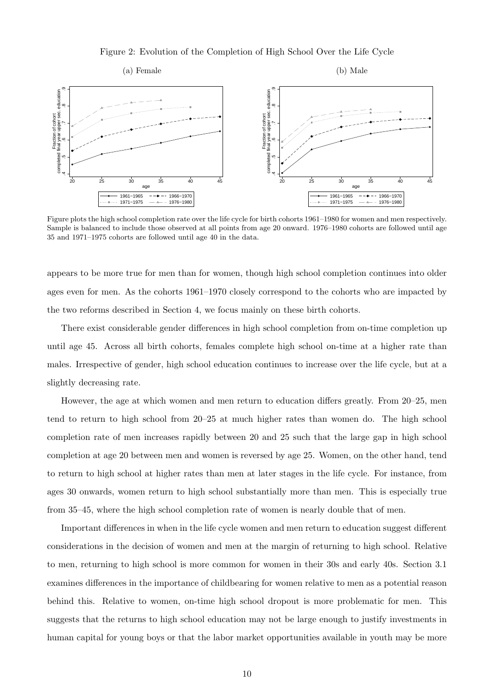Figure 2: Evolution of the Completion of High School Over the Life Cycle

<span id="page-11-0"></span>

Figure plots the high school completion rate over the life cycle for birth cohorts 1961–1980 for women and men respectively. Sample is balanced to include those observed at all points from age 20 onward. 1976–1980 cohorts are followed until age 35 and 1971–1975 cohorts are followed until age 40 in the data.

appears to be more true for men than for women, though high school completion continues into older ages even for men. As the cohorts 1961–1970 closely correspond to the cohorts who are impacted by the two reforms described in Section [4,](#page-25-0) we focus mainly on these birth cohorts.

There exist considerable gender differences in high school completion from on-time completion up until age 45. Across all birth cohorts, females complete high school on-time at a higher rate than males. Irrespective of gender, high school education continues to increase over the life cycle, but at a slightly decreasing rate.

However, the age at which women and men return to education differs greatly. From 20–25, men tend to return to high school from 20–25 at much higher rates than women do. The high school completion rate of men increases rapidly between 20 and 25 such that the large gap in high school completion at age 20 between men and women is reversed by age 25. Women, on the other hand, tend to return to high school at higher rates than men at later stages in the life cycle. For instance, from ages 30 onwards, women return to high school substantially more than men. This is especially true from 35–45, where the high school completion rate of women is nearly double that of men.

Important differences in when in the life cycle women and men return to education suggest different considerations in the decision of women and men at the margin of returning to high school. Relative to men, returning to high school is more common for women in their 30s and early 40s. Section [3.1](#page-14-0) examines differences in the importance of childbearing for women relative to men as a potential reason behind this. Relative to women, on-time high school dropout is more problematic for men. This suggests that the returns to high school education may not be large enough to justify investments in human capital for young boys or that the labor market opportunities available in youth may be more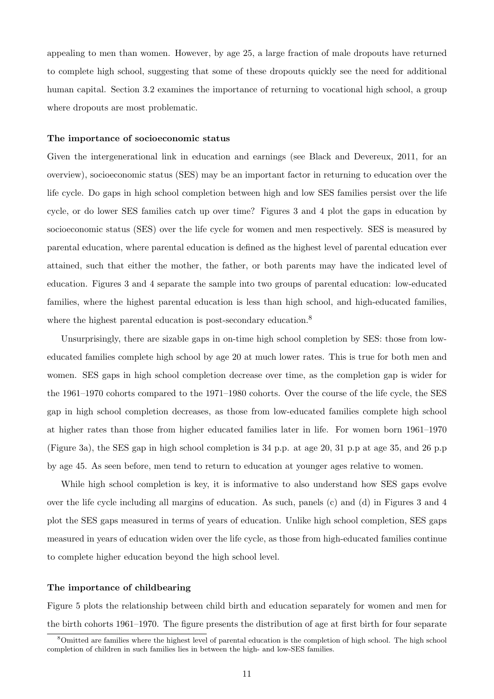appealing to men than women. However, by age 25, a large fraction of male dropouts have returned to complete high school, suggesting that some of these dropouts quickly see the need for additional human capital. Section [3.2](#page-16-0) examines the importance of returning to vocational high school, a group where dropouts are most problematic.

#### The importance of socioeconomic status

Given the intergenerational link in education and earnings (see [Black and Devereux, 2011,](#page-49-10) for an overview), socioeconomic status (SES) may be an important factor in returning to education over the life cycle. Do gaps in high school completion between high and low SES families persist over the life cycle, or do lower SES families catch up over time? Figures [3](#page-13-0) and [4](#page-14-0) plot the gaps in education by socioeconomic status (SES) over the life cycle for women and men respectively. SES is measured by parental education, where parental education is defined as the highest level of parental education ever attained, such that either the mother, the father, or both parents may have the indicated level of education. Figures [3](#page-13-0) and [4](#page-14-0) separate the sample into two groups of parental education: low-educated families, where the highest parental education is less than high school, and high-educated families, where the highest parental education is post-secondary education.<sup>[8](#page--1-0)</sup>

Unsurprisingly, there are sizable gaps in on-time high school completion by SES: those from loweducated families complete high school by age 20 at much lower rates. This is true for both men and women. SES gaps in high school completion decrease over time, as the completion gap is wider for the 1961–1970 cohorts compared to the 1971–1980 cohorts. Over the course of the life cycle, the SES gap in high school completion decreases, as those from low-educated families complete high school at higher rates than those from higher educated families later in life. For women born 1961–1970 (Figure [3a\)](#page-13-0), the SES gap in high school completion is 34 p.p. at age 20, 31 p.p at age 35, and 26 p.p by age 45. As seen before, men tend to return to education at younger ages relative to women.

While high school completion is key, it is informative to also understand how SES gaps evolve over the life cycle including all margins of education. As such, panels (c) and (d) in Figures [3](#page-13-0) and [4](#page-14-0) plot the SES gaps measured in terms of years of education. Unlike high school completion, SES gaps measured in years of education widen over the life cycle, as those from high-educated families continue to complete higher education beyond the high school level.

#### The importance of childbearing

Figure [5](#page-15-0) plots the relationship between child birth and education separately for women and men for the birth cohorts 1961–1970. The figure presents the distribution of age at first birth for four separate

<sup>&</sup>lt;sup>8</sup>Omitted are families where the highest level of parental education is the completion of high school. The high school completion of children in such families lies in between the high- and low-SES families.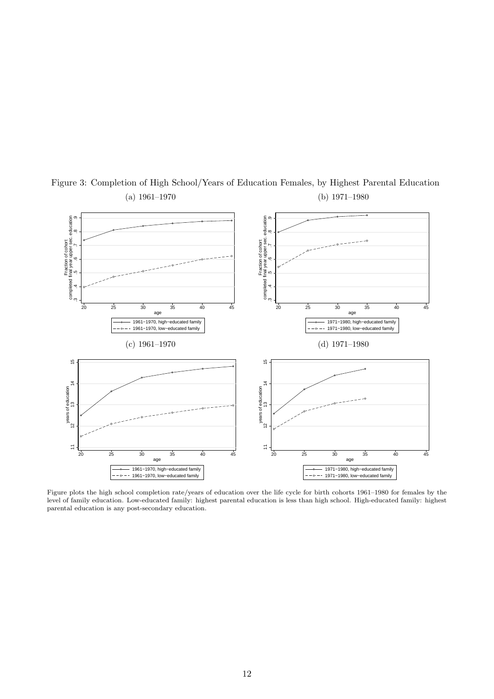

<span id="page-13-0"></span>Figure 3: Completion of High School/Years of Education Females, by Highest Parental Education (a) 1961–1970 (b) 1971–1980

Figure plots the high school completion rate/years of education over the life cycle for birth cohorts 1961–1980 for females by the level of family education. Low-educated family: highest parental education is less than high school. High-educated family: highest parental education is any post-secondary education.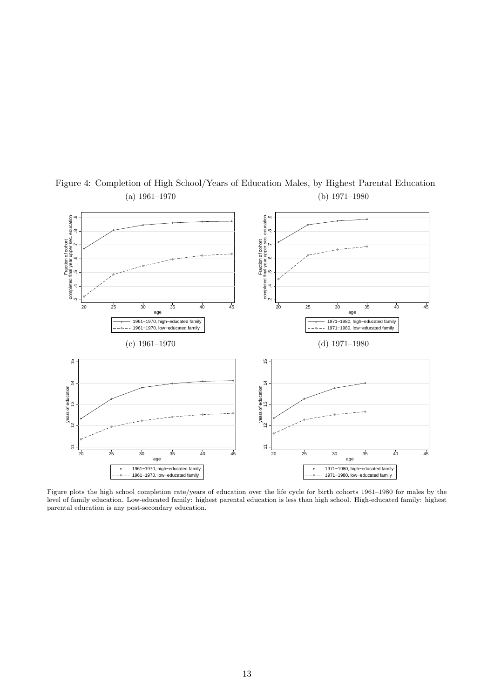

<span id="page-14-0"></span>Figure 4: Completion of High School/Years of Education Males, by Highest Parental Education (a) 1961–1970 (b) 1971–1980

Figure plots the high school completion rate/years of education over the life cycle for birth cohorts 1961–1980 for males by the level of family education. Low-educated family: highest parental education is less than high school. High-educated family: highest parental education is any post-secondary education.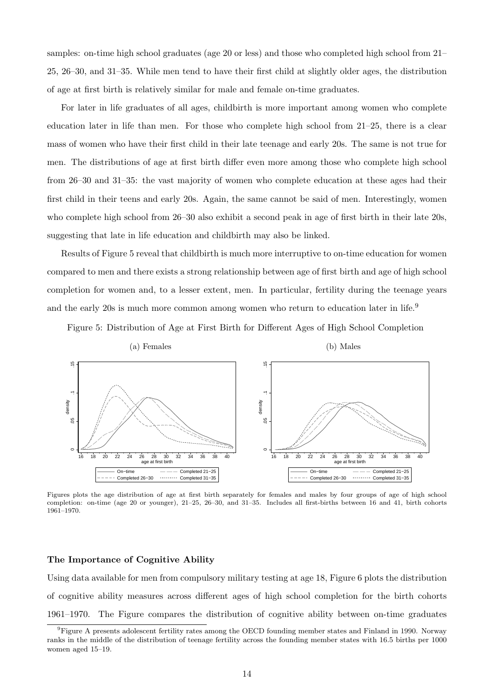samples: on-time high school graduates (age 20 or less) and those who completed high school from 21– 25, 26–30, and 31–35. While men tend to have their first child at slightly older ages, the distribution of age at first birth is relatively similar for male and female on-time graduates.

For later in life graduates of all ages, childbirth is more important among women who complete education later in life than men. For those who complete high school from 21–25, there is a clear mass of women who have their first child in their late teenage and early 20s. The same is not true for men. The distributions of age at first birth differ even more among those who complete high school from 26–30 and 31–35: the vast majority of women who complete education at these ages had their first child in their teens and early 20s. Again, the same cannot be said of men. Interestingly, women who complete high school from 26–30 also exhibit a second peak in age of first birth in their late 20s, suggesting that late in life education and childbirth may also be linked.

Results of Figure [5](#page-15-0) reveal that childbirth is much more interruptive to on-time education for women compared to men and there exists a strong relationship between age of first birth and age of high school completion for women and, to a lesser extent, men. In particular, fertility during the teenage years and the early 20s is much more common among women who return to education later in life.<sup>[9](#page--1-0)</sup>

Figure 5: Distribution of Age at First Birth for Different Ages of High School Completion

<span id="page-15-0"></span>

Figures plots the age distribution of age at first birth separately for females and males by four groups of age of high school completion: on-time (age 20 or younger), 21–25, 26–30, and 31–35. Includes all first-births between 16 and 41, birth cohorts 1961–1970.

#### The Importance of Cognitive Ability

Using data available for men from compulsory military testing at age 18, Figure [6](#page-17-0) plots the distribution of cognitive ability measures across different ages of high school completion for the birth cohorts 1961–1970. The Figure compares the distribution of cognitive ability between on-time graduates

<sup>9</sup>Figure [A](#page-55-0) presents adolescent fertility rates among the OECD founding member states and Finland in 1990. Norway ranks in the middle of the distribution of teenage fertility across the founding member states with 16.5 births per 1000 women aged 15–19.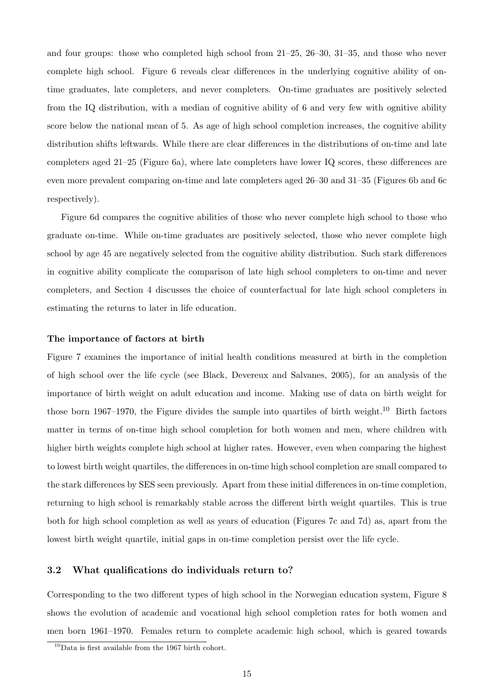and four groups: those who completed high school from 21–25, 26–30, 31–35, and those who never complete high school. Figure [6](#page-17-0) reveals clear differences in the underlying cognitive ability of ontime graduates, late completers, and never completers. On-time graduates are positively selected from the IQ distribution, with a median of cognitive ability of 6 and very few with ognitive ability score below the national mean of 5. As age of high school completion increases, the cognitive ability distribution shifts leftwards. While there are clear differences in the distributions of on-time and late completers aged 21–25 (Figure [6a\)](#page-17-0), where late completers have lower IQ scores, these differences are even more prevalent comparing on-time and late completers aged 26–30 and 31–35 (Figures [6b](#page-17-0) and [6c](#page-17-0) respectively).

Figure [6d](#page-17-0) compares the cognitive abilities of those who never complete high school to those who graduate on-time. While on-time graduates are positively selected, those who never complete high school by age 45 are negatively selected from the cognitive ability distribution. Such stark differences in cognitive ability complicate the comparison of late high school completers to on-time and never completers, and Section [4](#page-25-0) discusses the choice of counterfactual for late high school completers in estimating the returns to later in life education.

#### The importance of factors at birth

Figure [7](#page-18-0) examines the importance of initial health conditions measured at birth in the completion of high school over the life cycle (see Black, Devereux and Salvanes, 2005), for an analysis of the importance of birth weight on adult education and income. Making use of data on birth weight for those born 1967–1970, the Figure divides the sample into quartiles of birth weight.<sup>[10](#page--1-0)</sup> Birth factors matter in terms of on-time high school completion for both women and men, where children with higher birth weights complete high school at higher rates. However, even when comparing the highest to lowest birth weight quartiles, the differences in on-time high school completion are small compared to the stark differences by SES seen previously. Apart from these initial differences in on-time completion, returning to high school is remarkably stable across the different birth weight quartiles. This is true both for high school completion as well as years of education (Figures [7c](#page-18-0) and [7d\)](#page-18-0) as, apart from the lowest birth weight quartile, initial gaps in on-time completion persist over the life cycle.

#### <span id="page-16-0"></span>3.2 What qualifications do individuals return to?

Corresponding to the two different types of high school in the Norwegian education system, Figure [8](#page-20-0) shows the evolution of academic and vocational high school completion rates for both women and men born 1961–1970. Females return to complete academic high school, which is geared towards

 $10$ Data is first available from the 1967 birth cohort.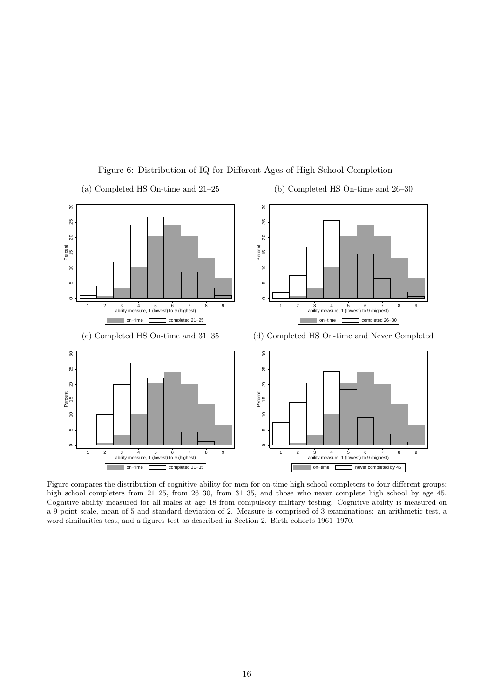<span id="page-17-0"></span>

Figure 6: Distribution of IQ for Different Ages of High School Completion

Figure compares the distribution of cognitive ability for men for on-time high school completers to four different groups: high school completers from 21–25, from 26–30, from 31–35, and those who never complete high school by age 45. Cognitive ability measured for all males at age 18 from compulsory military testing. Cognitive ability is measured on a 9 point scale, mean of 5 and standard deviation of 2. Measure is comprised of 3 examinations: an arithmetic test, a word similarities test, and a figures test as described in Section [2.](#page-7-0) Birth cohorts 1961–1970.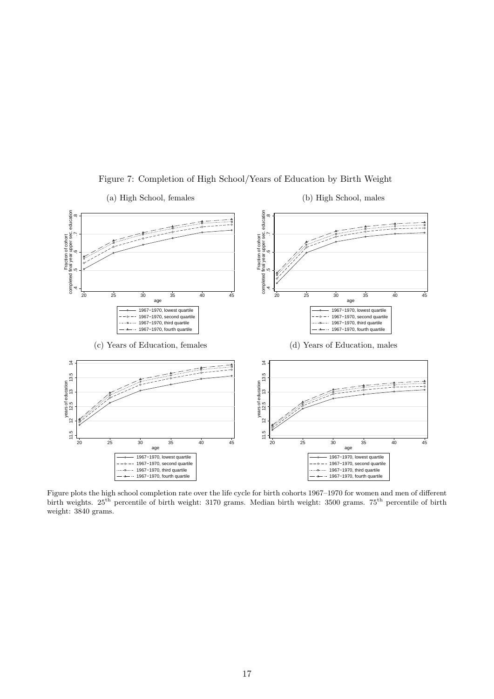<span id="page-18-0"></span>

Figure 7: Completion of High School/Years of Education by Birth Weight

(b) High School, males

(a) High School, females

Figure plots the high school completion rate over the life cycle for birth cohorts 1967–1970 for women and men of different birth weights. 25th percentile of birth weight: 3170 grams. Median birth weight: 3500 grams. 75th percentile of birth weight: 3840 grams.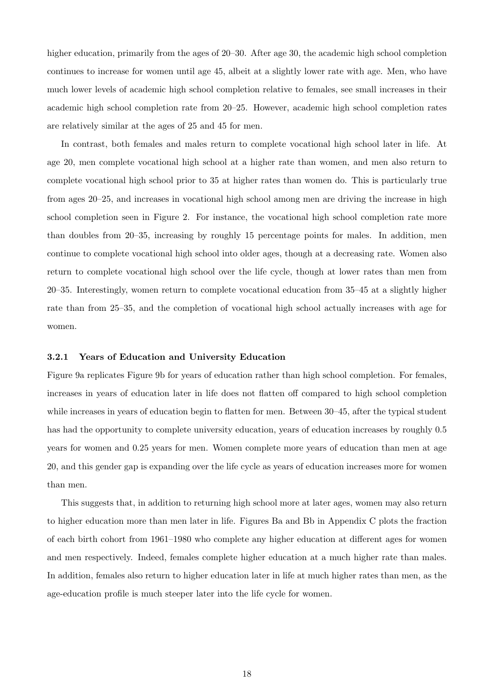higher education, primarily from the ages of 20–30. After age 30, the academic high school completion continues to increase for women until age 45, albeit at a slightly lower rate with age. Men, who have much lower levels of academic high school completion relative to females, see small increases in their academic high school completion rate from 20–25. However, academic high school completion rates are relatively similar at the ages of 25 and 45 for men.

In contrast, both females and males return to complete vocational high school later in life. At age 20, men complete vocational high school at a higher rate than women, and men also return to complete vocational high school prior to 35 at higher rates than women do. This is particularly true from ages 20–25, and increases in vocational high school among men are driving the increase in high school completion seen in Figure [2.](#page-11-0) For instance, the vocational high school completion rate more than doubles from 20–35, increasing by roughly 15 percentage points for males. In addition, men continue to complete vocational high school into older ages, though at a decreasing rate. Women also return to complete vocational high school over the life cycle, though at lower rates than men from 20–35. Interestingly, women return to complete vocational education from 35–45 at a slightly higher rate than from 25–35, and the completion of vocational high school actually increases with age for women.

#### 3.2.1 Years of Education and University Education

Figure [9a](#page-20-1) replicates Figure [9b](#page-20-1) for years of education rather than high school completion. For females, increases in years of education later in life does not flatten off compared to high school completion while increases in years of education begin to flatten for men. Between 30–45, after the typical student has had the opportunity to complete university education, years of education increases by roughly 0.5 years for women and 0.25 years for men. Women complete more years of education than men at age 20, and this gender gap is expanding over the life cycle as years of education increases more for women than men.

This suggests that, in addition to returning high school more at later ages, women may also return to higher education more than men later in life. Figures [Ba](#page-56-0) and [Bb](#page-56-0) in Appendix [C](#page-56-1) plots the fraction of each birth cohort from 1961–1980 who complete any higher education at different ages for women and men respectively. Indeed, females complete higher education at a much higher rate than males. In addition, females also return to higher education later in life at much higher rates than men, as the age-education profile is much steeper later into the life cycle for women.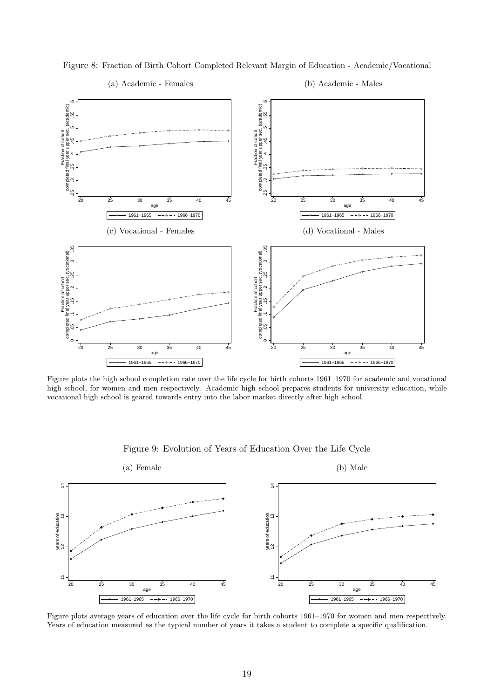

<span id="page-20-0"></span>Figure 8: Fraction of Birth Cohort Completed Relevant Margin of Education - Academic/Vocational



(b) Academic - Males

Figure plots the high school completion rate over the life cycle for birth cohorts 1961–1970 for academic and vocational high school, for women and men respectively. Academic high school prepares students for university education, while vocational high school is geared towards entry into the labor market directly after high school.

<span id="page-20-1"></span>

Figure 9: Evolution of Years of Education Over the Life Cycle

Figure plots average years of education over the life cycle for birth cohorts 1961–1970 for women and men respectively. Years of education measured as the typical number of years it takes a student to complete a specific qualification.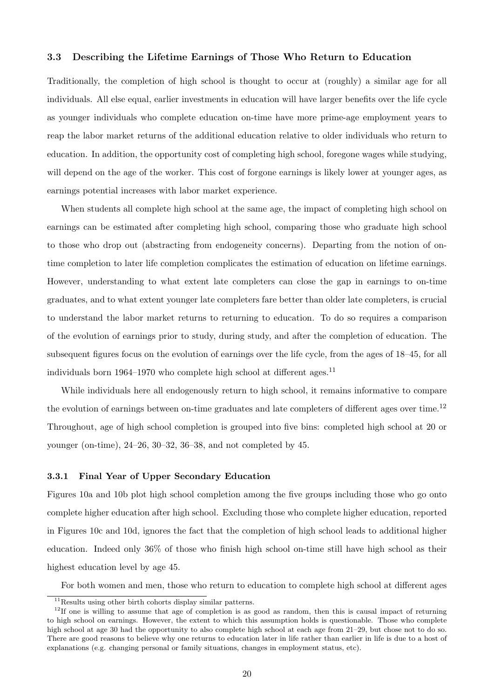#### 3.3 Describing the Lifetime Earnings of Those Who Return to Education

Traditionally, the completion of high school is thought to occur at (roughly) a similar age for all individuals. All else equal, earlier investments in education will have larger benefits over the life cycle as younger individuals who complete education on-time have more prime-age employment years to reap the labor market returns of the additional education relative to older individuals who return to education. In addition, the opportunity cost of completing high school, foregone wages while studying, will depend on the age of the worker. This cost of forgone earnings is likely lower at younger ages, as earnings potential increases with labor market experience.

When students all complete high school at the same age, the impact of completing high school on earnings can be estimated after completing high school, comparing those who graduate high school to those who drop out (abstracting from endogeneity concerns). Departing from the notion of ontime completion to later life completion complicates the estimation of education on lifetime earnings. However, understanding to what extent late completers can close the gap in earnings to on-time graduates, and to what extent younger late completers fare better than older late completers, is crucial to understand the labor market returns to returning to education. To do so requires a comparison of the evolution of earnings prior to study, during study, and after the completion of education. The subsequent figures focus on the evolution of earnings over the life cycle, from the ages of 18–45, for all individuals born 1964–1970 who complete high school at different ages.<sup>[11](#page--1-0)</sup>

While individuals here all endogenously return to high school, it remains informative to compare the evolution of earnings between on-time graduates and late completers of different ages over time.[12](#page--1-0) Throughout, age of high school completion is grouped into five bins: completed high school at 20 or younger (on-time), 24–26, 30–32, 36–38, and not completed by 45.

#### 3.3.1 Final Year of Upper Secondary Education

Figures [10a](#page-22-0) and [10b](#page-22-0) plot high school completion among the five groups including those who go onto complete higher education after high school. Excluding those who complete higher education, reported in Figures [10c](#page-22-0) and [10d,](#page-22-0) ignores the fact that the completion of high school leads to additional higher education. Indeed only 36% of those who finish high school on-time still have high school as their highest education level by age 45.

For both women and men, those who return to education to complete high school at different ages

<sup>&</sup>lt;sup>11</sup>Results using other birth cohorts display similar patterns.

 $12$ If one is willing to assume that age of completion is as good as random, then this is causal impact of returning to high school on earnings. However, the extent to which this assumption holds is questionable. Those who complete high school at age 30 had the opportunity to also complete high school at each age from 21–29, but chose not to do so. There are good reasons to believe why one returns to education later in life rather than earlier in life is due to a host of explanations (e.g. changing personal or family situations, changes in employment status, etc).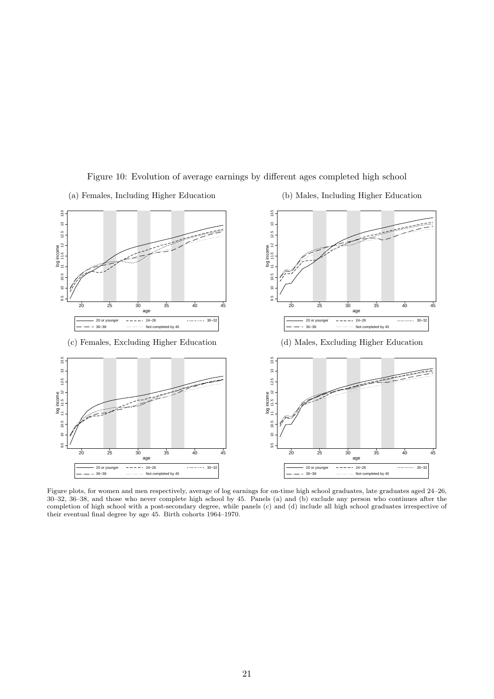

Figure 10: Evolution of average earnings by different ages completed high school

- <span id="page-22-0"></span>(a) Females, Including Higher Education
- (b) Males, Including Higher Education

Figure plots, for women and men respectively, average of log earnings for on-time high school graduates, late graduates aged 24–26, 30–32, 36–38, and those who never complete high school by 45. Panels (a) and (b) exclude any person who continues after the completion of high school with a post-secondary degree, while panels (c) and (d) include all high school graduates irrespective of their eventual final degree by age 45. Birth cohorts 1964–1970.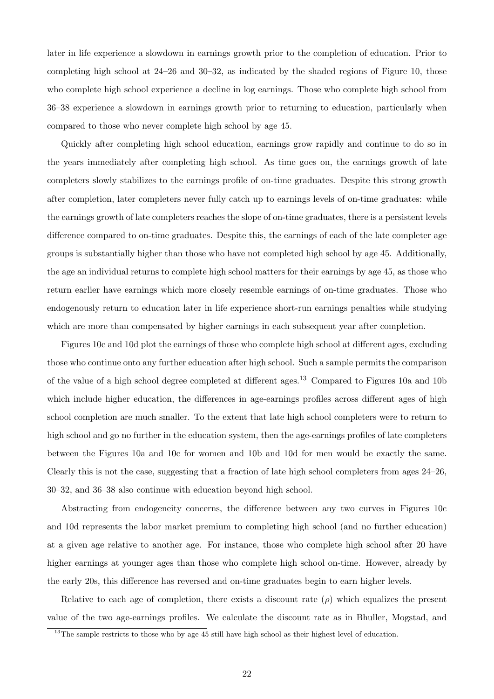later in life experience a slowdown in earnings growth prior to the completion of education. Prior to completing high school at 24–26 and 30–32, as indicated by the shaded regions of Figure [10,](#page-22-0) those who complete high school experience a decline in log earnings. Those who complete high school from 36–38 experience a slowdown in earnings growth prior to returning to education, particularly when compared to those who never complete high school by age 45.

Quickly after completing high school education, earnings grow rapidly and continue to do so in the years immediately after completing high school. As time goes on, the earnings growth of late completers slowly stabilizes to the earnings profile of on-time graduates. Despite this strong growth after completion, later completers never fully catch up to earnings levels of on-time graduates: while the earnings growth of late completers reaches the slope of on-time graduates, there is a persistent levels difference compared to on-time graduates. Despite this, the earnings of each of the late completer age groups is substantially higher than those who have not completed high school by age 45. Additionally, the age an individual returns to complete high school matters for their earnings by age 45, as those who return earlier have earnings which more closely resemble earnings of on-time graduates. Those who endogenously return to education later in life experience short-run earnings penalties while studying which are more than compensated by higher earnings in each subsequent year after completion.

Figures [10c](#page-22-0) and [10d](#page-22-0) plot the earnings of those who complete high school at different ages, excluding those who continue onto any further education after high school. Such a sample permits the comparison of the value of a high school degree completed at different ages.[13](#page--1-0) Compared to Figures [10a](#page-22-0) and [10b](#page-22-0) which include higher education, the differences in age-earnings profiles across different ages of high school completion are much smaller. To the extent that late high school completers were to return to high school and go no further in the education system, then the age-earnings profiles of late completers between the Figures [10a](#page-22-0) and [10c](#page-22-0) for women and [10b](#page-22-0) and [10d](#page-22-0) for men would be exactly the same. Clearly this is not the case, suggesting that a fraction of late high school completers from ages 24–26, 30–32, and 36–38 also continue with education beyond high school.

Abstracting from endogeneity concerns, the difference between any two curves in Figures [10c](#page-22-0) and [10d](#page-22-0) represents the labor market premium to completing high school (and no further education) at a given age relative to another age. For instance, those who complete high school after 20 have higher earnings at younger ages than those who complete high school on-time. However, already by the early 20s, this difference has reversed and on-time graduates begin to earn higher levels.

Relative to each age of completion, there exists a discount rate  $(\rho)$  which equalizes the present value of the two age-earnings profiles. We calculate the discount rate as in [Bhuller, Mogstad, and](#page-49-4)

 $13$ [The sample restricts to those who by age 45 still have high school as their highest level of education.](#page-49-4)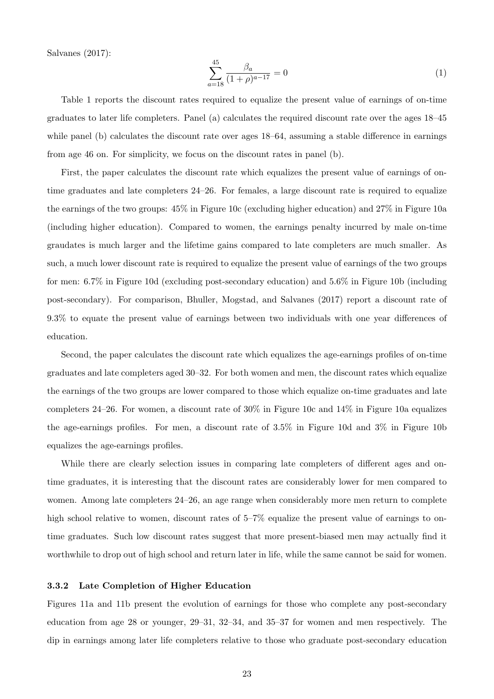[Salvanes](#page-49-4) [\(2017\)](#page-49-4):

$$
\sum_{a=18}^{45} \frac{\beta_a}{(1+\rho)^{a-17}} = 0 \tag{1}
$$

Table [1](#page-25-1) reports the discount rates required to equalize the present value of earnings of on-time graduates to later life completers. Panel (a) calculates the required discount rate over the ages 18–45 while panel (b) calculates the discount rate over ages 18–64, assuming a stable difference in earnings from age 46 on. For simplicity, we focus on the discount rates in panel (b).

First, the paper calculates the discount rate which equalizes the present value of earnings of ontime graduates and late completers 24–26. For females, a large discount rate is required to equalize the earnings of the two groups: 45% in Figure [10c](#page-22-0) (excluding higher education) and 27% in Figure [10a](#page-22-0) (including higher education). Compared to women, the earnings penalty incurred by male on-time graudates is much larger and the lifetime gains compared to late completers are much smaller. As such, a much lower discount rate is required to equalize the present value of earnings of the two groups for men: 6.7% in Figure [10d](#page-22-0) (excluding post-secondary education) and 5.6% in Figure [10b](#page-22-0) (including post-secondary). For comparison, [Bhuller, Mogstad, and Salvanes](#page-49-4) [\(2017\)](#page-49-4) report a discount rate of 9.3% to equate the present value of earnings between two individuals with one year differences of education.

Second, the paper calculates the discount rate which equalizes the age-earnings profiles of on-time graduates and late completers aged 30–32. For both women and men, the discount rates which equalize the earnings of the two groups are lower compared to those which equalize on-time graduates and late completers 24–26. For women, a discount rate of 30% in Figure [10c](#page-22-0) and 14% in Figure [10a](#page-22-0) equalizes the age-earnings profiles. For men, a discount rate of 3.5% in Figure [10d](#page-22-0) and 3% in Figure [10b](#page-22-0) equalizes the age-earnings profiles.

While there are clearly selection issues in comparing late completers of different ages and ontime graduates, it is interesting that the discount rates are considerably lower for men compared to women. Among late completers 24–26, an age range when considerably more men return to complete high school relative to women, discount rates of 5–7% equalize the present value of earnings to ontime graduates. Such low discount rates suggest that more present-biased men may actually find it worthwhile to drop out of high school and return later in life, while the same cannot be said for women.

#### 3.3.2 Late Completion of Higher Education

Figures [11a](#page-26-0) and [11b](#page-26-0) present the evolution of earnings for those who complete any post-secondary education from age 28 or younger, 29–31, 32–34, and 35–37 for women and men respectively. The dip in earnings among later life completers relative to those who graduate post-secondary education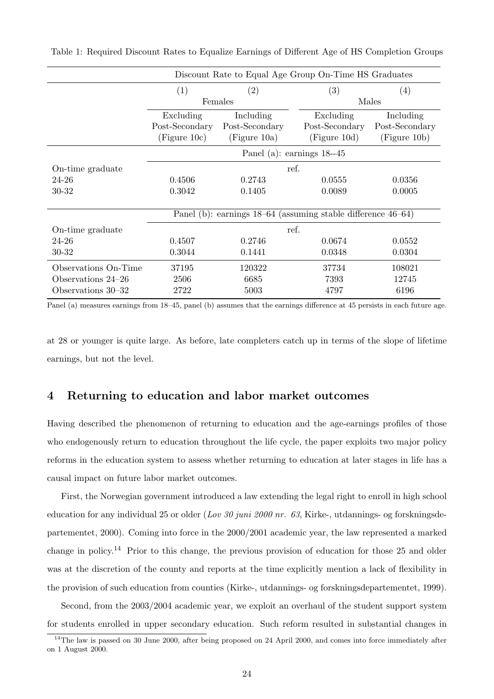|                      | Discount Rate to Equal Age Group On-Time HS Graduates |                                                                   |                             |                |  |  |
|----------------------|-------------------------------------------------------|-------------------------------------------------------------------|-----------------------------|----------------|--|--|
|                      | (1)                                                   | (2)                                                               | $\left( 3\right)$           | (4)            |  |  |
|                      |                                                       | Females                                                           |                             | Males          |  |  |
|                      | Excluding                                             | Including                                                         | Excluding                   | Including      |  |  |
|                      | Post-Secondary                                        | Post-Secondary                                                    | Post-Secondary              | Post-Secondary |  |  |
|                      | (Figure 10c)                                          | (Figure 10a)                                                      | (Figure 10d)                | (Figure 10b)   |  |  |
|                      |                                                       |                                                                   | Panel (a): earnings $18-45$ |                |  |  |
| On-time graduate     |                                                       | ref.                                                              |                             |                |  |  |
| 24-26                | 0.4506                                                | 0.2743                                                            | 0.0555                      | 0.0356         |  |  |
| 30-32                | 0.3042                                                | 0.1405                                                            | 0.0089                      | 0.0005         |  |  |
|                      |                                                       |                                                                   |                             |                |  |  |
|                      |                                                       | Panel (b): earnings $18-64$ (assuming stable difference $46-64$ ) |                             |                |  |  |
| On-time graduate     |                                                       | ref.                                                              |                             |                |  |  |
| 24-26                | 0.4507                                                | 0.2746                                                            | 0.0674                      | 0.0552         |  |  |
| 30-32                | 0.3044                                                | 0.1441                                                            | 0.0348                      | 0.0304         |  |  |
| Observations On-Time | 37195                                                 | 120322                                                            | 37734                       | 108021         |  |  |
| Observations 24–26   | 2506                                                  | 6685                                                              | 7393                        | 12745          |  |  |
| Observations 30–32   | 2722                                                  | 5003                                                              | 4797                        | 6196           |  |  |

<span id="page-25-1"></span>Table 1: Required Discount Rates to Equalize Earnings of Different Age of HS Completion Groups

Panel (a) measures earnings from 18–45, panel (b) assumes that the earnings difference at 45 persists in each future age.

at 28 or younger is quite large. As before, late completers catch up in terms of the slope of lifetime earnings, but not the level.

### <span id="page-25-0"></span>4 Returning to education and labor market outcomes

Having described the phenomenon of returning to education and the age-earnings profiles of those who endogenously return to education throughout the life cycle, the paper exploits two major policy reforms in the education system to assess whether returning to education at later stages in life has a causal impact on future labor market outcomes.

First, the Norwegian government introduced a law extending the legal right to enroll in high school education for any individual 25 or older (Lov 30 juni 2000 nr. 63, [Kirke-, utdannings- og forskningsde](#page-51-6)[partementet, 2000\)](#page-51-6). Coming into force in the 2000/2001 academic year, the law represented a marked change in policy.[14](#page--1-0) Prior to this change, the previous provision of education for those 25 and older was at the discretion of the county and reports at the time explicitly mention a lack of flexibility in the provision of such education from counties [\(Kirke-, utdannings- og forskningsdepartementet, 1999\)](#page-51-7).

Second, from the 2003/2004 academic year, we exploit an overhaul of the student support system for students enrolled in upper secondary education. Such reform resulted in substantial changes in

 $14$ The law is passed on 30 June 2000, after being proposed on 24 April 2000, and comes into force immediately after on 1 August 2000.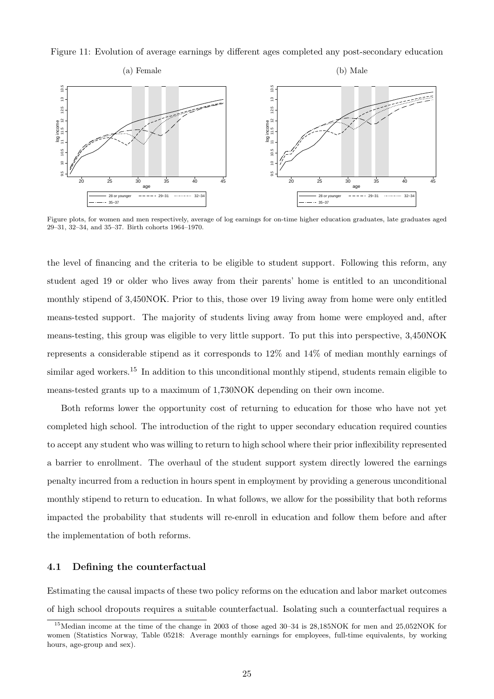<span id="page-26-0"></span>Figure 11: Evolution of average earnings by different ages completed any post-secondary education



Figure plots, for women and men respectively, average of log earnings for on-time higher education graduates, late graduates aged 29–31, 32–34, and 35–37. Birth cohorts 1964–1970.

the level of financing and the criteria to be eligible to student support. Following this reform, any student aged 19 or older who lives away from their parents' home is entitled to an unconditional monthly stipend of 3,450NOK. Prior to this, those over 19 living away from home were only entitled means-tested support. The majority of students living away from home were employed and, after means-testing, this group was eligible to very little support. To put this into perspective, 3,450NOK represents a considerable stipend as it corresponds to 12% and 14% of median monthly earnings of similar aged workers.<sup>[15](#page--1-0)</sup> In addition to this unconditional monthly stipend, students remain eligible to means-tested grants up to a maximum of 1,730NOK depending on their own income.

Both reforms lower the opportunity cost of returning to education for those who have not yet completed high school. The introduction of the right to upper secondary education required counties to accept any student who was willing to return to high school where their prior inflexibility represented a barrier to enrollment. The overhaul of the student support system directly lowered the earnings penalty incurred from a reduction in hours spent in employment by providing a generous unconditional monthly stipend to return to education. In what follows, we allow for the possibility that both reforms impacted the probability that students will re-enroll in education and follow them before and after the implementation of both reforms.

#### 4.1 Defining the counterfactual

Estimating the causal impacts of these two policy reforms on the education and labor market outcomes of high school dropouts requires a suitable counterfactual. Isolating such a counterfactual requires a

<sup>15</sup>Median income at the time of the change in 2003 of those aged 30–34 is 28,185NOK for men and 25,052NOK for women (Statistics Norway, Table 05218: Average monthly earnings for employees, full-time equivalents, by working hours, age-group and sex).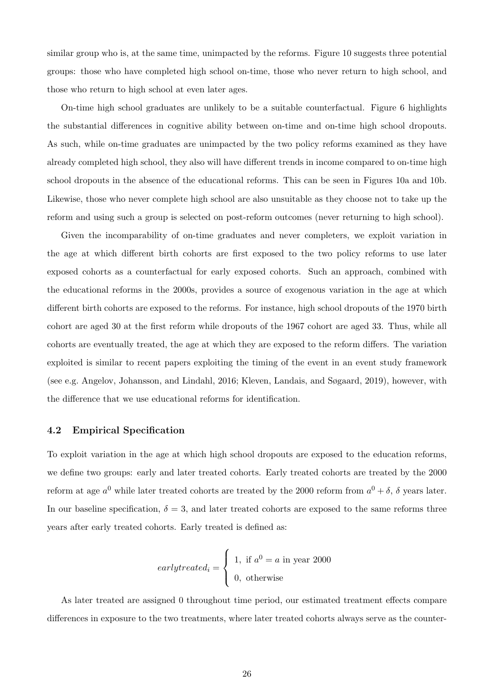similar group who is, at the same time, unimpacted by the reforms. Figure [10](#page-22-0) suggests three potential groups: those who have completed high school on-time, those who never return to high school, and those who return to high school at even later ages.

On-time high school graduates are unlikely to be a suitable counterfactual. Figure [6](#page-17-0) highlights the substantial differences in cognitive ability between on-time and on-time high school dropouts. As such, while on-time graduates are unimpacted by the two policy reforms examined as they have already completed high school, they also will have different trends in income compared to on-time high school dropouts in the absence of the educational reforms. This can be seen in Figures [10a](#page-22-0) and [10b.](#page-22-0) Likewise, those who never complete high school are also unsuitable as they choose not to take up the reform and using such a group is selected on post-reform outcomes (never returning to high school).

Given the incomparability of on-time graduates and never completers, we exploit variation in the age at which different birth cohorts are first exposed to the two policy reforms to use later exposed cohorts as a counterfactual for early exposed cohorts. Such an approach, combined with the educational reforms in the 2000s, provides a source of exogenous variation in the age at which different birth cohorts are exposed to the reforms. For instance, high school dropouts of the 1970 birth cohort are aged 30 at the first reform while dropouts of the 1967 cohort are aged 33. Thus, while all cohorts are eventually treated, the age at which they are exposed to the reform differs. The variation exploited is similar to recent papers exploiting the timing of the event in an event study framework (see e.g. [Angelov, Johansson, and Lindahl, 2016;](#page-49-7) [Kleven, Landais, and Søgaard, 2019\)](#page-51-5), however, with the difference that we use educational reforms for identification.

#### 4.2 Empirical Specification

To exploit variation in the age at which high school dropouts are exposed to the education reforms, we define two groups: early and later treated cohorts. Early treated cohorts are treated by the 2000 reform at age  $a^0$  while later treated cohorts are treated by the 2000 reform from  $a^0 + \delta$ ,  $\delta$  years later. In our baseline specification,  $\delta = 3$ , and later treated cohorts are exposed to the same reforms three years after early treated cohorts. Early treated is defined as:

$$
early treated_i = \begin{cases} 1, & \text{if } a^0 = a \text{ in year } 2000 \\ 0, & \text{otherwise} \end{cases}
$$

As later treated are assigned 0 throughout time period, our estimated treatment effects compare differences in exposure to the two treatments, where later treated cohorts always serve as the counter-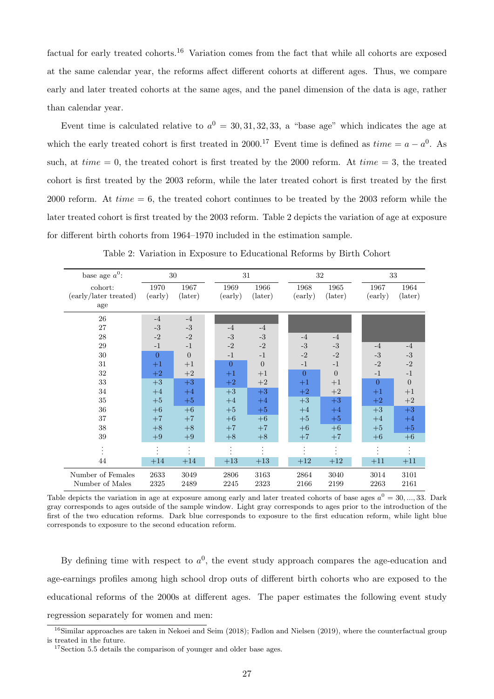factual for early treated cohorts.<sup>[16](#page--1-0)</sup> Variation comes from the fact that while all cohorts are exposed at the same calendar year, the reforms affect different cohorts at different ages. Thus, we compare early and later treated cohorts at the same ages, and the panel dimension of the data is age, rather than calendar year.

Event time is calculated relative to  $a^0 = 30, 31, 32, 33$ , a "base age" which indicates the age at which the early treated cohort is first treated in 2000.<sup>[17](#page--1-0)</sup> Event time is defined as  $time = a - a^0$ . As such, at  $time = 0$ , the treated cohort is first treated by the 2000 reform. At  $time = 3$ , the treated cohort is first treated by the 2003 reform, while the later treated cohort is first treated by the first 2000 reform. At  $time = 6$ , the treated cohort continues to be treated by the 2003 reform while the later treated cohort is first treated by the 2003 reform. Table [2](#page-28-0) depicts the variation of age at exposure for different birth cohorts from 1964–1970 included in the estimation sample.

<span id="page-28-0"></span>

| base age $a^0$ :                        |                 | 30                       |                 | 31              |                 | 32              | 33              |                 |
|-----------------------------------------|-----------------|--------------------------|-----------------|-----------------|-----------------|-----------------|-----------------|-----------------|
| cohort:<br>(early/later treated)<br>age | 1970<br>(early) | 1967<br>$(\text{later})$ | 1969<br>(early) | 1966<br>(later) | 1968<br>(early) | 1965<br>(later) | 1967<br>(early) | 1964<br>(later) |
| 26                                      | $-4$            | $-4$                     |                 |                 |                 |                 |                 |                 |
| 27                                      | $-3$            | $-3$                     | $-4$            | $-4$            |                 |                 |                 |                 |
| 28                                      | $-2$            | $-2$                     | $-3$            | $-3$            | $-4$            | $-4$            |                 |                 |
| 29                                      | $-1$            | $-1$                     | $-2$            | $-2$            | $-3$            | $-3$            | $-4$            | $-4$            |
| $30\,$                                  | $\overline{0}$  | $\boldsymbol{0}$         | $-1$            | $-1$            | $-2$            | $-2$            | $-3$            | $\text{-}3$     |
| 31                                      | $+1$            | $+1$                     | $\overline{0}$  | $\overline{0}$  | $-1$            | $-1$            | $-2$            | $-2$            |
| 32                                      | $+2$            | $+2$                     | $+1$            | $+1$            | $\overline{0}$  | $\overline{0}$  | $-1$            | $-1$            |
| 33                                      | $\rm +3$        | $+3$                     | $+2$            | $+2$            | $+1$            | $+1$            | $\Omega$        | $\mathbf{0}$    |
| 34                                      | $+4$            | $+4$                     | $+3$            | $+3$            | $+2$            | $+2$            | $+1$            | $+1$            |
| 35                                      | $+5$            | $+5$                     | $+4$            | $+4$            | $+3$            | $+3$            | $+2$            | $+2$            |
| 36                                      | $+6$            | $+6$                     | $+5$            | $+5$            | $+4$            | $+4$            | $+3$            | $+3$            |
| 37                                      | $+7$            | $+7$                     | $+6$            | $+6$            | $+5$            | $+5$            | $+4$            | $+4$            |
| 38                                      | $+8$            | $+8$                     | $+7$            | $+7$            | $+6$            | $+6$            | $+5$            | $+5$            |
| $39\,$                                  | $+9$            | $+9$                     | $+8$            | $+8$            | $+7$            | $+7$            | $+6$            | $+6$            |
|                                         |                 |                          |                 | $\bullet$       |                 |                 |                 |                 |
| 44                                      | $+14$           | $+14$                    | $+13$           | $+13$           | $+12$           | $+12$           | $+11$           | $+11$           |
| Number of Females<br>Number of Males    | 2633<br>2325    | 3049<br>2489             | 2806<br>2245    | 3163<br>2323    | 2864<br>2166    | 3040<br>2199    | 3014<br>2263    | 3101<br>2161    |

Table 2: Variation in Exposure to Educational Reforms by Birth Cohort

Table depicts the variation in age at exposure among early and later treated cohorts of base ages  $a^0 = 30, ..., 33$ . Dark gray corresponds to ages outside of the sample window. Light gray corresponds to ages prior to the introduction of the first of the two education reforms. Dark blue corresponds to exposure to the first education reform, while light blue corresponds to exposure to the second education reform.

By defining time with respect to  $a^0$ , the event study approach compares the age-education and age-earnings profiles among high school drop outs of different birth cohorts who are exposed to the educational reforms of the 2000s at different ages. The paper estimates the following event study regression separately for women and men:

 $16$ Similar approaches are taken in [Nekoei and Seim](#page-52-4) [\(2018\)](#page-52-4); [Fadlon and Nielsen](#page-50-3) [\(2019\)](#page-50-3), where the counterfactual group is treated in the future.

<sup>&</sup>lt;sup>17</sup>Section [5.5](#page-46-0) details the comparison of younger and older base ages.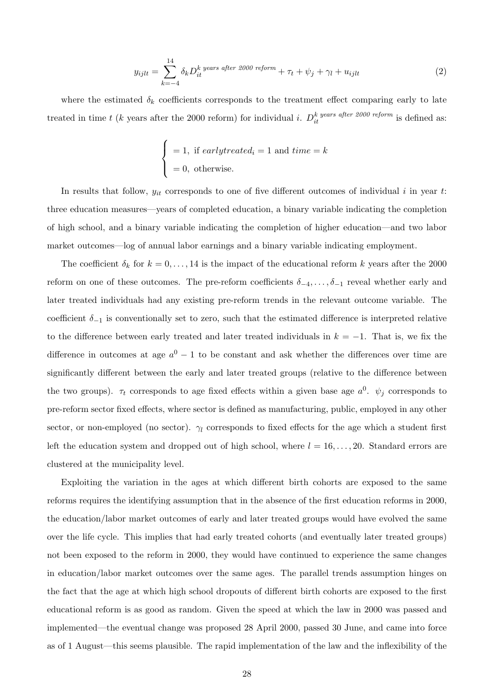<span id="page-29-0"></span>
$$
y_{ijlt} = \sum_{k=-4}^{14} \delta_k D_{it}^k \text{ years after 2000 reform} + \tau_t + \psi_j + \gamma_l + u_{ijlt}
$$
 (2)

where the estimated  $\delta_k$  coefficients corresponds to the treatment effect comparing early to late treated in time t (k years after the 2000 reform) for individual i.  $D_{it}^{k \text{ years after 2000 reform}}$  is defined as:

$$
\begin{cases}\n= 1, \text{ if } early treated_i = 1 \text{ and } time = k \\
= 0, \text{ otherwise.} \n\end{cases}
$$

In results that follow,  $y_{it}$  corresponds to one of five different outcomes of individual i in year t: three education measures—years of completed education, a binary variable indicating the completion of high school, and a binary variable indicating the completion of higher education—and two labor market outcomes—log of annual labor earnings and a binary variable indicating employment.

The coefficient  $\delta_k$  for  $k = 0, \ldots, 14$  is the impact of the educational reform k years after the 2000 reform on one of these outcomes. The pre-reform coefficients  $\delta_{-4}, \ldots, \delta_{-1}$  reveal whether early and later treated individuals had any existing pre-reform trends in the relevant outcome variable. The coefficient  $\delta_{-1}$  is conventionally set to zero, such that the estimated difference is interpreted relative to the difference between early treated and later treated individuals in  $k = -1$ . That is, we fix the difference in outcomes at age  $a^0 - 1$  to be constant and ask whether the differences over time are significantly different between the early and later treated groups (relative to the difference between the two groups).  $\tau_t$  corresponds to age fixed effects within a given base age  $a^0$ .  $\psi_j$  corresponds to pre-reform sector fixed effects, where sector is defined as manufacturing, public, employed in any other sector, or non-employed (no sector).  $\gamma_l$  corresponds to fixed effects for the age which a student first left the education system and dropped out of high school, where  $l = 16, \ldots, 20$ . Standard errors are clustered at the municipality level.

Exploiting the variation in the ages at which different birth cohorts are exposed to the same reforms requires the identifying assumption that in the absence of the first education reforms in 2000, the education/labor market outcomes of early and later treated groups would have evolved the same over the life cycle. This implies that had early treated cohorts (and eventually later treated groups) not been exposed to the reform in 2000, they would have continued to experience the same changes in education/labor market outcomes over the same ages. The parallel trends assumption hinges on the fact that the age at which high school dropouts of different birth cohorts are exposed to the first educational reform is as good as random. Given the speed at which the law in 2000 was passed and implemented—the eventual change was proposed 28 April 2000, passed 30 June, and came into force as of 1 August—this seems plausible. The rapid implementation of the law and the inflexibility of the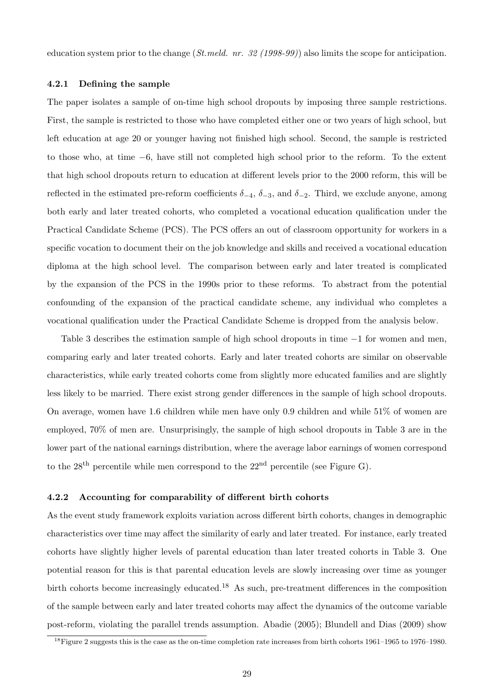education system prior to the change  $(St. \, mell. \, nr. \, 32 \, (1998-99))$  also limits the scope for anticipation.

#### <span id="page-30-0"></span>4.2.1 Defining the sample

The paper isolates a sample of on-time high school dropouts by imposing three sample restrictions. First, the sample is restricted to those who have completed either one or two years of high school, but left education at age 20 or younger having not finished high school. Second, the sample is restricted to those who, at time −6, have still not completed high school prior to the reform. To the extent that high school dropouts return to education at different levels prior to the 2000 reform, this will be reflected in the estimated pre-reform coefficients  $\delta_{-4}$ ,  $\delta_{-3}$ , and  $\delta_{-2}$ . Third, we exclude anyone, among both early and later treated cohorts, who completed a vocational education qualification under the Practical Candidate Scheme (PCS). The PCS offers an out of classroom opportunity for workers in a specific vocation to document their on the job knowledge and skills and received a vocational education diploma at the high school level. The comparison between early and later treated is complicated by the expansion of the PCS in the 1990s prior to these reforms. To abstract from the potential confounding of the expansion of the practical candidate scheme, any individual who completes a vocational qualification under the Practical Candidate Scheme is dropped from the analysis below.

Table [3](#page-31-0) describes the estimation sample of high school dropouts in time −1 for women and men, comparing early and later treated cohorts. Early and later treated cohorts are similar on observable characteristics, while early treated cohorts come from slightly more educated families and are slightly less likely to be married. There exist strong gender differences in the sample of high school dropouts. On average, women have 1.6 children while men have only 0.9 children and while 51% of women are employed, 70% of men are. Unsurprisingly, the sample of high school dropouts in Table [3](#page-31-0) are in the lower part of the national earnings distribution, where the average labor earnings of women correspond to the  $28<sup>th</sup>$  percentile while men correspond to the  $22<sup>nd</sup>$  percentile (see Figure [G\)](#page-59-0).

#### <span id="page-30-1"></span>4.2.2 Accounting for comparability of different birth cohorts

As the event study framework exploits variation across different birth cohorts, changes in demographic characteristics over time may affect the similarity of early and later treated. For instance, early treated cohorts have slightly higher levels of parental education than later treated cohorts in Table [3.](#page-31-0) One potential reason for this is that parental education levels are slowly increasing over time as younger birth cohorts become increasingly educated.<sup>[18](#page--1-0)</sup> As such, pre-treatment differences in the composition of the sample between early and later treated cohorts may affect the dynamics of the outcome variable post-reform, violating the parallel trends assumption. [Abadie](#page-48-3) [\(2005\)](#page-48-3); [Blundell and Dias](#page-49-5) [\(2009\)](#page-49-5) show

 $^{18}$ Figure [2](#page-11-0) suggests this is the case as the on-time completion rate increases from birth cohorts 1961–1965 to 1976–1980.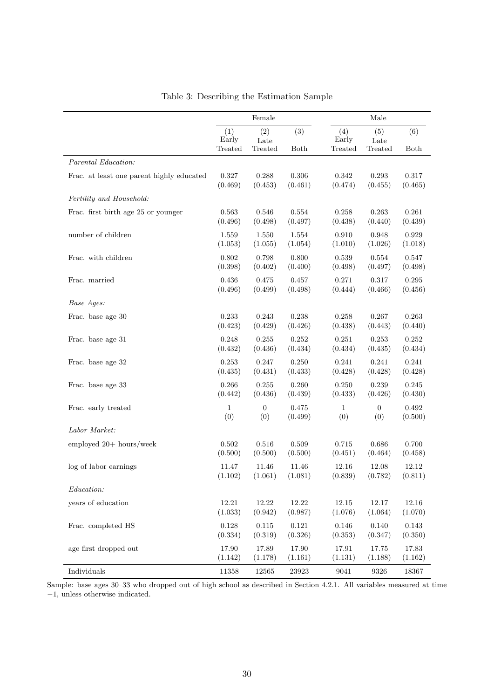<span id="page-31-0"></span>

|                                           | Female                  |                        |                      |                         | Male                   |             |
|-------------------------------------------|-------------------------|------------------------|----------------------|-------------------------|------------------------|-------------|
|                                           | (1)<br>Early<br>Treated | (2)<br>Late<br>Treated | (3)<br>Both          | (4)<br>Early<br>Treated | (5)<br>Late<br>Treated | (6)<br>Both |
| Parental Education:                       |                         |                        |                      |                         |                        |             |
| Frac. at least one parent highly educated | 0.327                   | 0.288                  | 0.306                | 0.342                   | 0.293                  | 0.317       |
|                                           | (0.469)                 | (0.453)                | (0.461)              | (0.474)                 | (0.455)                | (0.465)     |
| Fertility and Household:                  |                         |                        |                      |                         |                        |             |
| Frac. first birth age 25 or younger       | 0.563                   | 0.546                  | $\,0.554\,$          | 0.258                   | 0.263                  | 0.261       |
|                                           | (0.496)                 | (0.498)                | (0.497)              | (0.438)                 | (0.440)                | (0.439)     |
| number of children                        | 1.559                   | 1.550                  | 1.554                | 0.910                   | 0.948                  | 0.929       |
|                                           | (1.053)                 | (1.055)                | (1.054)              | (1.010)                 | (1.026)                | (1.018)     |
| Frac. with children                       | 0.802                   | 0.798                  | 0.800                | 0.539                   | 0.554                  | 0.547       |
|                                           | (0.398)                 | (0.402)                | (0.400)              | (0.498)                 | (0.497)                | (0.498)     |
| Frac. married                             | 0.436                   | 0.475                  | 0.457                | 0.271                   | 0.317                  | 0.295       |
|                                           | (0.496)                 | (0.499)                | (0.498)              | (0.444)                 | (0.466)                | (0.456)     |
| Base Ages:                                |                         |                        |                      |                         |                        |             |
| Frac. base age 30                         | 0.233                   | 0.243                  | 0.238                | 0.258                   | 0.267                  | 0.263       |
|                                           | (0.423)                 | (0.429)                | (0.426)              | (0.438)                 | (0.443)                | (0.440)     |
| Frac. base age 31                         | 0.248                   | 0.255                  | 0.252                | 0.251                   | 0.253                  | 0.252       |
|                                           | (0.432)                 | (0.436)                | (0.434)              | (0.434)                 | (0.435)                | (0.434)     |
| Frac. base age 32                         | 0.253                   | 0.247                  | 0.250                | 0.241                   | 0.241                  | 0.241       |
|                                           | (0.435)                 | (0.431)                | (0.433)              | (0.428)                 | (0.428)                | (0.428)     |
| Frac. base age 33                         | 0.266                   | 0.255                  | 0.260                | 0.250                   | 0.239                  | 0.245       |
|                                           | (0.442)                 | (0.436)                | (0.439)              | (0.433)                 | (0.426)                | (0.430)     |
| Frac. early treated                       | $\mathbf{1}$            | $\overline{0}$         | 0.475                | $\mathbf{1}$            | $\mathbf{0}$           | 0.492       |
|                                           | (0)                     | (0)                    | (0.499)              | (0)                     | (0)                    | (0.500)     |
| Labor Market:                             |                         |                        |                      |                         |                        |             |
| employed 20+ hours/week                   | 0.502                   | 0.516                  | 0.509                | 0.715                   | 0.686                  | 0.700       |
|                                           | (0.500)                 | (0.500)                | (0.500)              | (0.451)                 | (0.464)                | (0.458)     |
| log of labor earnings                     | 11.47                   | 11.46                  | 11.46                | 12.16                   | 12.08                  | 12.12       |
|                                           | (1.102)                 | (1.061)                | (1.081)              | (0.839)                 | (0.782)                | (0.811)     |
| Education:                                |                         |                        |                      |                         |                        |             |
| years of education                        | 12.21                   | 12.22                  | 12.22                | 12.15                   | $12.17\,$              | 12.16       |
|                                           | (1.033)                 | (0.942)                | (0.987)              | (1.076)                 | (1.064)                | (1.070)     |
| Frac. completed HS                        | 0.128                   | $0.115\,$              | $\rm 0.121$          | 0.146                   | 0.140                  | 0.143       |
|                                           | (0.334)                 | (0.319)                | (0.326)              | (0.353)                 | (0.347)                | (0.350)     |
| age first dropped out                     | 17.90                   | 17.89                  | 17.90                | $17.91\,$               | 17.75                  | 17.83       |
|                                           | (1.142)                 | (1.178)                | (1.161)              | (1.131)                 | (1.188)                | (1.162)     |
| Individuals                               | 11358                   | 12565                  | $\boldsymbol{23923}$ | $9041\,$                | 9326                   | 18367       |

|  |  | Table 3: Describing the Estimation Sample |  |
|--|--|-------------------------------------------|--|
|--|--|-------------------------------------------|--|

Sample: base ages 30–33 who dropped out of high school as described in Section [4.2.1.](#page-30-0) All variables measured at time −1, unless otherwise indicated.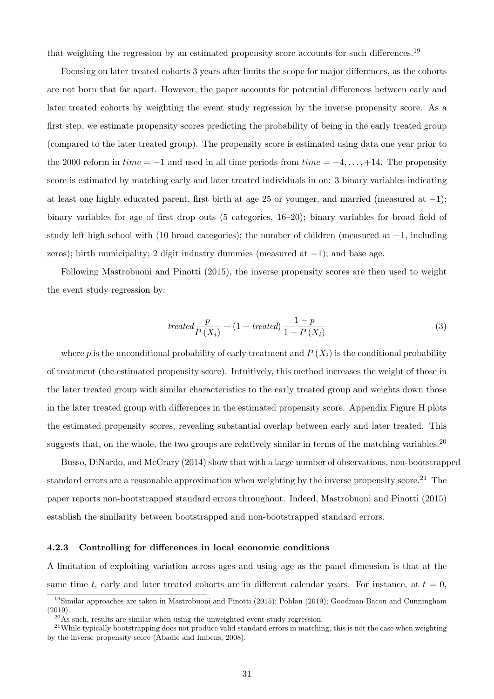that weighting the regression by an estimated propensity score accounts for such differences.<sup>[19](#page--1-0)</sup>

Focusing on later treated cohorts 3 years after limits the scope for major differences, as the cohorts are not born that far apart. However, the paper accounts for potential differences between early and later treated cohorts by weighting the event study regression by the inverse propensity score. As a first step, we estimate propensity scores predicting the probability of being in the early treated group (compared to the later treated group). The propensity score is estimated using data one year prior to the 2000 reform in  $time = -1$  and used in all time periods from  $time = -4, \ldots, +14$ . The propensity score is estimated by matching early and later treated individuals in on: 3 binary variables indicating at least one highly educated parent, first birth at age 25 or younger, and married (measured at  $-1$ ); binary variables for age of first drop outs (5 categories, 16–20); binary variables for broad field of study left high school with (10 broad categories); the number of children (measured at −1, including zeros); birth municipality; 2 digit industry dummies (measured at  $-1$ ); and base age.

Following [Mastrobuoni and Pinotti](#page-51-3) [\(2015\)](#page-51-3), the inverse propensity scores are then used to weight the event study regression by:

$$
treated \frac{p}{P(X_i)} + (1 - treated) \frac{1-p}{1 - P(X_i)}
$$
\n
$$
\tag{3}
$$

where p is the unconditional probability of early treatment and  $P(X_i)$  is the conditional probability of treatment (the estimated propensity score). Intuitively, this method increases the weight of those in the later treated group with similar characteristics to the early treated group and weights down those in the later treated group with differences in the estimated propensity score. Appendix Figure [H](#page-60-0) plots the estimated propensity scores, revealing substantial overlap between early and later treated. This suggests that, on the whole, the two groups are relatively similar in terms of the matching variables.<sup>[20](#page--1-0)</sup>

[Busso, DiNardo, and McCrary](#page-50-4) [\(2014\)](#page-50-4) show that with a large number of observations, non-bootstrapped standard errors are a reasonable approximation when weighting by the inverse propensity score.[21](#page--1-0) The paper reports non-bootstrapped standard errors throughout. Indeed, [Mastrobuoni and Pinotti](#page-51-3) [\(2015\)](#page-51-3) establish the similarity between bootstrapped and non-bootstrapped standard errors.

#### <span id="page-32-0"></span>4.2.3 Controlling for differences in local economic conditions

A limitation of exploiting variation across ages and using age as the panel dimension is that at the same time t, early and later treated cohorts are in different calendar years. For instance, at  $t = 0$ ,

<sup>&</sup>lt;sup>19</sup>Similar approaches are taken in [Mastrobuoni and Pinotti](#page-51-3) [\(2015\)](#page-51-3); [Pohlan](#page-52-5) [\(2019\)](#page-52-5); [Goodman-Bacon and Cunningham](#page-51-4) [\(2019\)](#page-51-4).

 $^{20}$ As such, results are similar when using the unweighted event study regression.

 $21$ While typically bootstrapping does not produce valid standard errors in matching, this is not the case when weighting by the inverse propensity score [\(Abadie and Imbens, 2008\)](#page-48-4).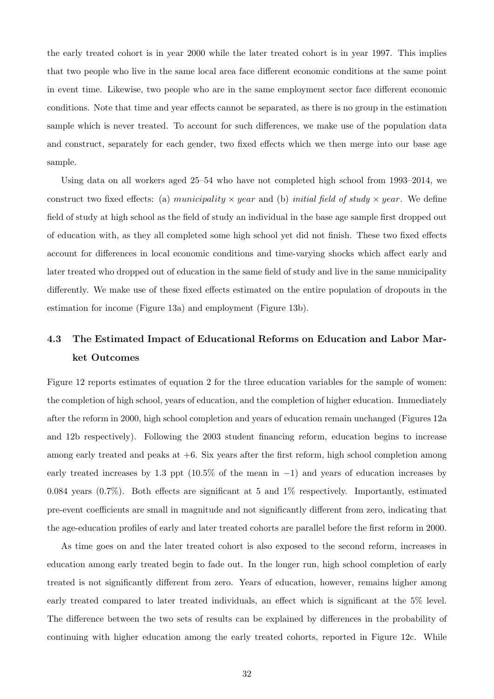the early treated cohort is in year 2000 while the later treated cohort is in year 1997. This implies that two people who live in the same local area face different economic conditions at the same point in event time. Likewise, two people who are in the same employment sector face different economic conditions. Note that time and year effects cannot be separated, as there is no group in the estimation sample which is never treated. To account for such differences, we make use of the population data and construct, separately for each gender, two fixed effects which we then merge into our base age sample.

Using data on all workers aged 25–54 who have not completed high school from 1993–2014, we construct two fixed effects: (a) municipality  $\times$  year and (b) initial field of study  $\times$  year. We define field of study at high school as the field of study an individual in the base age sample first dropped out of education with, as they all completed some high school yet did not finish. These two fixed effects account for differences in local economic conditions and time-varying shocks which affect early and later treated who dropped out of education in the same field of study and live in the same municipality differently. We make use of these fixed effects estimated on the entire population of dropouts in the estimation for income (Figure [13a\)](#page-35-0) and employment (Figure [13b\)](#page-35-0).

## 4.3 The Estimated Impact of Educational Reforms on Education and Labor Market Outcomes

Figure [12](#page-35-1) reports estimates of equation [2](#page-29-0) for the three education variables for the sample of women: the completion of high school, years of education, and the completion of higher education. Immediately after the reform in 2000, high school completion and years of education remain unchanged (Figures [12a](#page-35-1) and [12b](#page-35-1) respectively). Following the 2003 student financing reform, education begins to increase among early treated and peaks at  $+6$ . Six years after the first reform, high school completion among early treated increases by 1.3 ppt (10.5% of the mean in −1) and years of education increases by 0.084 years (0.7%). Both effects are significant at 5 and 1% respectively. Importantly, estimated pre-event coefficients are small in magnitude and not significantly different from zero, indicating that the age-education profiles of early and later treated cohorts are parallel before the first reform in 2000.

As time goes on and the later treated cohort is also exposed to the second reform, increases in education among early treated begin to fade out. In the longer run, high school completion of early treated is not significantly different from zero. Years of education, however, remains higher among early treated compared to later treated individuals, an effect which is significant at the 5% level. The difference between the two sets of results can be explained by differences in the probability of continuing with higher education among the early treated cohorts, reported in Figure [12c.](#page-35-1) While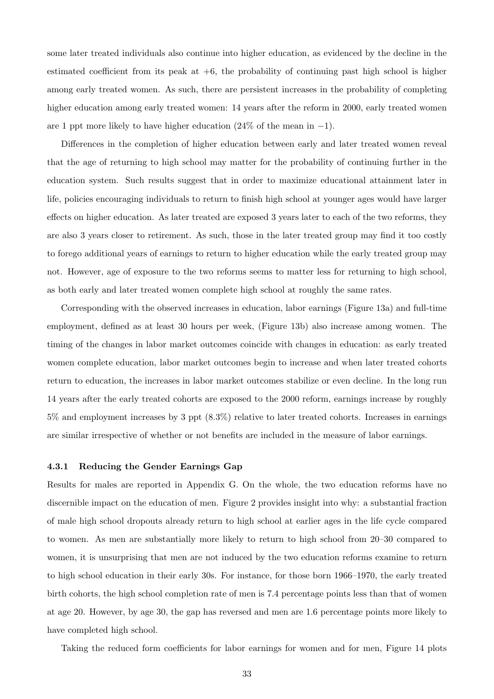some later treated individuals also continue into higher education, as evidenced by the decline in the estimated coefficient from its peak at  $+6$ , the probability of continuing past high school is higher among early treated women. As such, there are persistent increases in the probability of completing higher education among early treated women: 14 years after the reform in 2000, early treated women are 1 ppt more likely to have higher education  $(24\% \text{ of the mean in } -1)$ .

Differences in the completion of higher education between early and later treated women reveal that the age of returning to high school may matter for the probability of continuing further in the education system. Such results suggest that in order to maximize educational attainment later in life, policies encouraging individuals to return to finish high school at younger ages would have larger effects on higher education. As later treated are exposed 3 years later to each of the two reforms, they are also 3 years closer to retirement. As such, those in the later treated group may find it too costly to forego additional years of earnings to return to higher education while the early treated group may not. However, age of exposure to the two reforms seems to matter less for returning to high school, as both early and later treated women complete high school at roughly the same rates.

Corresponding with the observed increases in education, labor earnings (Figure [13a\)](#page-35-0) and full-time employment, defined as at least 30 hours per week, (Figure [13b\)](#page-35-0) also increase among women. The timing of the changes in labor market outcomes coincide with changes in education: as early treated women complete education, labor market outcomes begin to increase and when later treated cohorts return to education, the increases in labor market outcomes stabilize or even decline. In the long run 14 years after the early treated cohorts are exposed to the 2000 reform, earnings increase by roughly 5% and employment increases by 3 ppt (8.3%) relative to later treated cohorts. Increases in earnings are similar irrespective of whether or not benefits are included in the measure of labor earnings.

#### 4.3.1 Reducing the Gender Earnings Gap

Results for males are reported in Appendix [G.](#page-61-0) On the whole, the two education reforms have no discernible impact on the education of men. Figure [2](#page-11-0) provides insight into why: a substantial fraction of male high school dropouts already return to high school at earlier ages in the life cycle compared to women. As men are substantially more likely to return to high school from 20–30 compared to women, it is unsurprising that men are not induced by the two education reforms examine to return to high school education in their early 30s. For instance, for those born 1966–1970, the early treated birth cohorts, the high school completion rate of men is 7.4 percentage points less than that of women at age 20. However, by age 30, the gap has reversed and men are 1.6 percentage points more likely to have completed high school.

Taking the reduced form coefficients for labor earnings for women and for men, Figure [14](#page-36-0) plots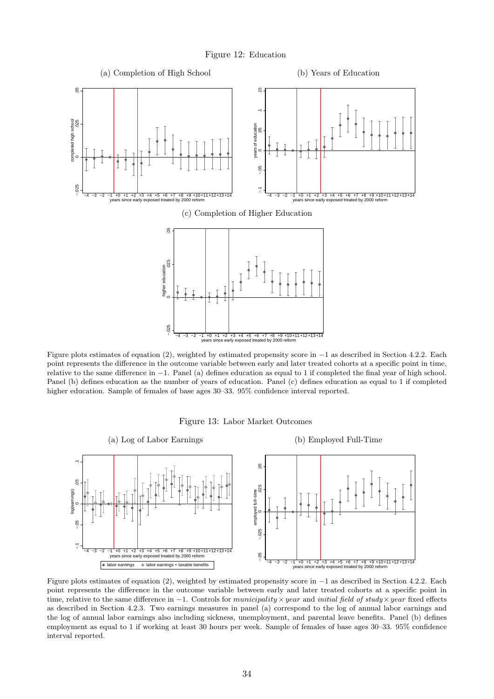Figure 12: Education

<span id="page-35-1"></span>

Figure plots estimates of equation [\(2\)](#page-29-0), weighted by estimated propensity score in −1 as described in Section [4.2.2.](#page-30-1) Each point represents the difference in the outcome variable between early and later treated cohorts at a specific point in time, relative to the same difference in −1. Panel (a) defines education as equal to 1 if completed the final year of high school. Panel (b) defines education as the number of years of education. Panel (c) defines education as equal to 1 if completed higher education. Sample of females of base ages  $30-33$ .  $95\%$  confidence interval reported.



<span id="page-35-0"></span>

Figure plots estimates of equation [\(2\)](#page-29-0), weighted by estimated propensity score in −1 as described in Section [4.2.2.](#page-30-1) Each point represents the difference in the outcome variable between early and later treated cohorts at a specific point in time, relative to the same difference in  $-1$ . Controls for municipality × year and initial field of study × year fixed effects as described in Section [4.2.3.](#page-32-0) Two earnings measures in panel (a) correspond to the log of annual labor earnings and the log of annual labor earnings also including sickness, unemployment, and parental leave benefits. Panel (b) defines employment as equal to 1 if working at least 30 hours per week. Sample of females of base ages 30–33. 95% confidence interval reported.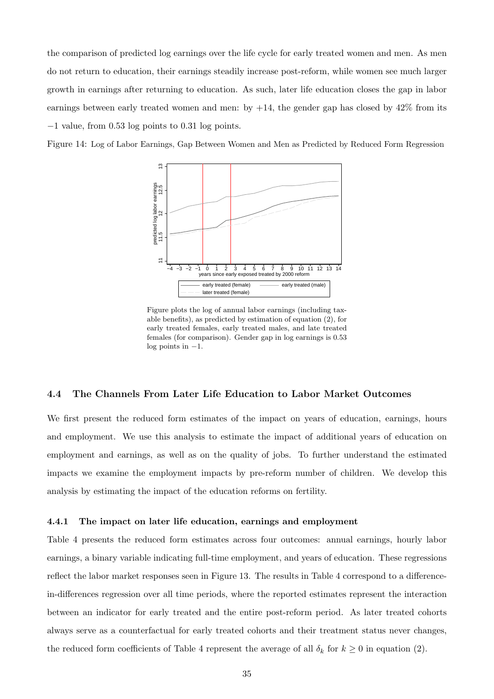the comparison of predicted log earnings over the life cycle for early treated women and men. As men do not return to education, their earnings steadily increase post-reform, while women see much larger growth in earnings after returning to education. As such, later life education closes the gap in labor earnings between early treated women and men: by  $+14$ , the gender gap has closed by  $42\%$  from its −1 value, from 0.53 log points to 0.31 log points.

<span id="page-36-0"></span>Figure 14: Log of Labor Earnings, Gap Between Women and Men as Predicted by Reduced Form Regression



Figure plots the log of annual labor earnings (including taxable benefits), as predicted by estimation of equation [\(2\)](#page-29-0), for early treated females, early treated males, and late treated females (for comparison). Gender gap in log earnings is 0.53 log points in  $-1$ .

#### 4.4 The Channels From Later Life Education to Labor Market Outcomes

We first present the reduced form estimates of the impact on years of education, earnings, hours and employment. We use this analysis to estimate the impact of additional years of education on employment and earnings, as well as on the quality of jobs. To further understand the estimated impacts we examine the employment impacts by pre-reform number of children. We develop this analysis by estimating the impact of the education reforms on fertility.

#### 4.4.1 The impact on later life education, earnings and employment

Table [4](#page-37-0) presents the reduced form estimates across four outcomes: annual earnings, hourly labor earnings, a binary variable indicating full-time employment, and years of education. These regressions reflect the labor market responses seen in Figure [13.](#page-35-0) The results in Table [4](#page-37-0) correspond to a differencein-differences regression over all time periods, where the reported estimates represent the interaction between an indicator for early treated and the entire post-reform period. As later treated cohorts always serve as a counterfactual for early treated cohorts and their treatment status never changes, the reduced form coefficients of Table [4](#page-37-0) represent the average of all  $\delta_k$  for  $k \geq 0$  in equation [\(2\)](#page-29-0).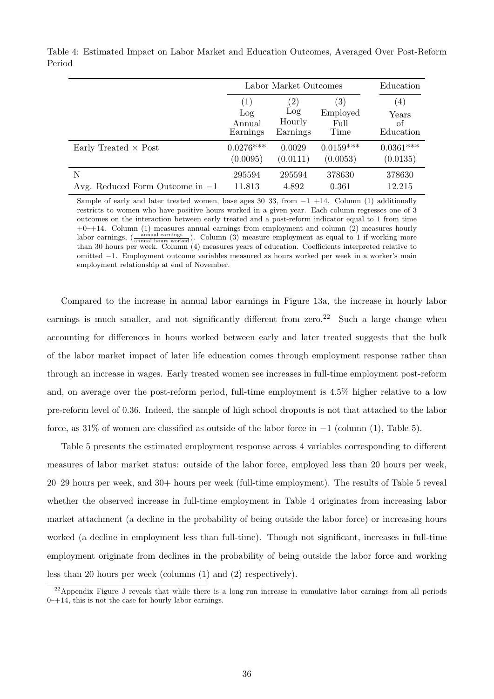|                                   |                   | Labor Market Outcomes |                   |                  |  |
|-----------------------------------|-------------------|-----------------------|-------------------|------------------|--|
|                                   | $\left( 1\right)$ | $^{\prime}2)$         | $\left( 3\right)$ | $\left(4\right)$ |  |
|                                   | Log               | Log                   | Employed          | Years            |  |
|                                   | Annual            | Hourly                | Full              | оf               |  |
|                                   | Earnings          | Earnings              | Time              | Education        |  |
| Early Treated $\times$ Post       | $0.0276***$       | 0.0029                | $0.0159***$       | $0.0361***$      |  |
|                                   | (0.0095)          | (0.0111)              | (0.0053)          | (0.0135)         |  |
| Ν                                 | 295594            | 295594                | 378630            | 378630           |  |
| Avg. Reduced Form Outcome in $-1$ | 11.813            | 4.892                 | 0.361             | 12.215           |  |

<span id="page-37-0"></span>Table 4: Estimated Impact on Labor Market and Education Outcomes, Averaged Over Post-Reform Period

Sample of early and later treated women, base ages  $30-33$ , from  $-1+14$ . Column (1) additionally restricts to women who have positive hours worked in a given year. Each column regresses one of 3 outcomes on the interaction between early treated and a post-reform indicator equal to 1 from time  $+0-+14$ . Column (1) measures annual earnings from employment and column (2) measures hourly labor earnings,  $\left(\frac{\text{annual earnings}}{\text{annual hours worked}}\right)$ . Column (3) measure employment as equal to 1 if working more than 30 hours per week. Column (4) measures years of education. Coefficients interpreted relative to omitted −1. Employment outcome variables measured as hours worked per week in a worker's main employment relationship at end of November.

Compared to the increase in annual labor earnings in Figure [13a,](#page-35-0) the increase in hourly labor earnings is much smaller, and not significantly different from zero.<sup>[22](#page--1-0)</sup> Such a large change when accounting for differences in hours worked between early and later treated suggests that the bulk of the labor market impact of later life education comes through employment response rather than through an increase in wages. Early treated women see increases in full-time employment post-reform and, on average over the post-reform period, full-time employment is 4.5% higher relative to a low pre-reform level of 0.36. Indeed, the sample of high school dropouts is not that attached to the labor force, as 31% of women are classified as outside of the labor force in  $-1$  (column (1), Table [5\)](#page-38-0).

Table [5](#page-38-0) presents the estimated employment response across 4 variables corresponding to different measures of labor market status: outside of the labor force, employed less than 20 hours per week, 20–29 hours per week, and 30+ hours per week (full-time employment). The results of Table [5](#page-38-0) reveal whether the observed increase in full-time employment in Table [4](#page-37-0) originates from increasing labor market attachment (a decline in the probability of being outside the labor force) or increasing hours worked (a decline in employment less than full-time). Though not significant, increases in full-time employment originate from declines in the probability of being outside the labor force and working less than 20 hours per week (columns (1) and (2) respectively).

<sup>&</sup>lt;sup>22</sup>Appendix Figure [J](#page-62-0) reveals that while there is a long-run increase in cumulative labor earnings from all periods  $0-+14$ , this is not the case for hourly labor earnings.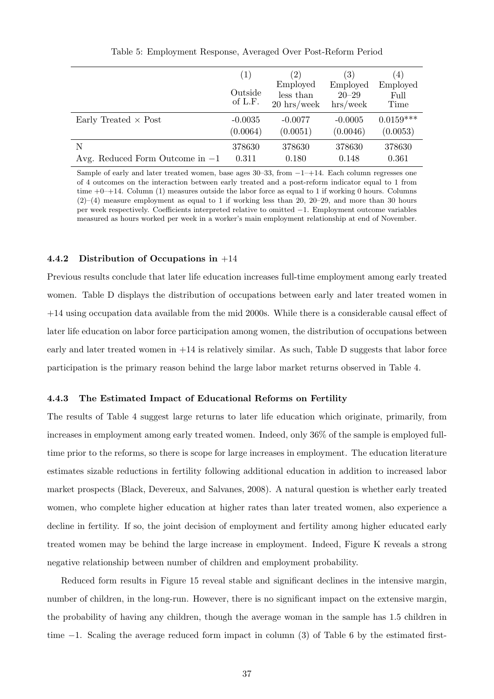<span id="page-38-0"></span>

|                                   | (1)<br>Outside<br>of L.F. | (2)<br>Employed<br>less than<br>$20 \text{ hrs}/\text{week}$ | $\left( 3\right)$<br>Employed<br>$20 - 29$<br>$\frac{h}{s}$ /week | $\left(4\right)$<br>Employed<br>Full<br>Time |
|-----------------------------------|---------------------------|--------------------------------------------------------------|-------------------------------------------------------------------|----------------------------------------------|
| Early Treated $\times$ Post       | $-0.0035$                 | $-0.0077$                                                    | $-0.0005$                                                         | $0.0159***$                                  |
|                                   | (0.0064)                  | (0.0051)                                                     | (0.0046)                                                          | (0.0053)                                     |
| N                                 | 378630                    | 378630                                                       | 378630                                                            | 378630                                       |
| Avg. Reduced Form Outcome in $-1$ | 0.311                     | 0.180                                                        | 0.148                                                             | 0.361                                        |

Table 5: Employment Response, Averaged Over Post-Reform Period

Sample of early and later treated women, base ages  $30-33$ , from  $-1-14$ . Each column regresses one of 4 outcomes on the interaction between early treated and a post-reform indicator equal to 1 from time  $+0-+14$ . Column (1) measures outside the labor force as equal to 1 if working 0 hours. Columns  $(2)$ – $(4)$  measure employment as equal to 1 if working less than 20, 20–29, and more than 30 hours per week respectively. Coefficients interpreted relative to omitted −1. Employment outcome variables measured as hours worked per week in a worker's main employment relationship at end of November.

#### 4.4.2 Distribution of Occupations in +14

Previous results conclude that later life education increases full-time employment among early treated women. Table [D](#page-65-0) displays the distribution of occupations between early and later treated women in +14 using occupation data available from the mid 2000s. While there is a considerable causal effect of later life education on labor force participation among women, the distribution of occupations between early and later treated women in  $+14$  is relatively similar. As such, Table [D](#page-65-0) suggests that labor force participation is the primary reason behind the large labor market returns observed in Table [4.](#page-37-0)

#### <span id="page-38-1"></span>4.4.3 The Estimated Impact of Educational Reforms on Fertility

The results of Table [4](#page-37-0) suggest large returns to later life education which originate, primarily, from increases in employment among early treated women. Indeed, only 36% of the sample is employed fulltime prior to the reforms, so there is scope for large increases in employment. The education literature estimates sizable reductions in fertility following additional education in addition to increased labor market prospects [\(Black, Devereux, and Salvanes, 2008\)](#page-49-3). A natural question is whether early treated women, who complete higher education at higher rates than later treated women, also experience a decline in fertility. If so, the joint decision of employment and fertility among higher educated early treated women may be behind the large increase in employment. Indeed, Figure [K](#page-63-0) reveals a strong negative relationship between number of children and employment probability.

Reduced form results in Figure [15](#page-39-0) reveal stable and significant declines in the intensive margin, number of children, in the long-run. However, there is no significant impact on the extensive margin, the probability of having any children, though the average woman in the sample has 1.5 children in time −1. Scaling the average reduced form impact in column (3) of Table [6](#page-39-1) by the estimated first-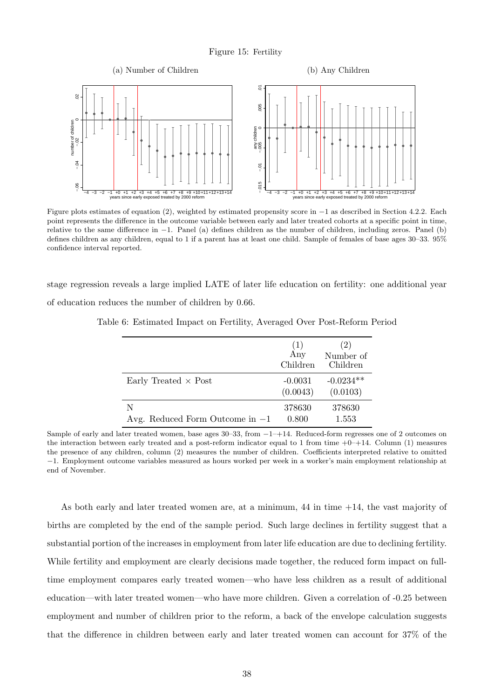<span id="page-39-0"></span>

Figure plots estimates of equation [\(2\)](#page-29-0), weighted by estimated propensity score in −1 as described in Section [4.2.2.](#page-30-1) Each point represents the difference in the outcome variable between early and later treated cohorts at a specific point in time, relative to the same difference in −1. Panel (a) defines children as the number of children, including zeros. Panel (b) defines children as any children, equal to 1 if a parent has at least one child. Sample of females of base ages 30–33. 95% confidence interval reported.

<span id="page-39-1"></span>stage regression reveals a large implied LATE of later life education on fertility: one additional year of education reduces the number of children by 0.66.

|                                        | (1)<br>Any<br>Children | (2)<br>Number of<br>Children |
|----------------------------------------|------------------------|------------------------------|
| Early Treated $\times$ Post            | $-0.0031$<br>(0.0043)  | $-0.0234**$<br>(0.0103)      |
| N<br>Avg. Reduced Form Outcome in $-1$ | 378630<br>0.800        | 378630<br>1.553              |

Table 6: Estimated Impact on Fertility, Averaged Over Post-Reform Period

Sample of early and later treated women, base ages 30–33, from  $-1-114$ . Reduced-form regresses one of 2 outcomes on the interaction between early treated and a post-reform indicator equal to 1 from time  $+0$ – $+14$ . Column (1) measures the presence of any children, column (2) measures the number of children. Coefficients interpreted relative to omitted −1. Employment outcome variables measured as hours worked per week in a worker's main employment relationship at end of November.

As both early and later treated women are, at a minimum,  $44$  in time  $+14$ , the vast majority of births are completed by the end of the sample period. Such large declines in fertility suggest that a substantial portion of the increases in employment from later life education are due to declining fertility. While fertility and employment are clearly decisions made together, the reduced form impact on fulltime employment compares early treated women—who have less children as a result of additional education—with later treated women—who have more children. Given a correlation of -0.25 between employment and number of children prior to the reform, a back of the envelope calculation suggests that the difference in children between early and later treated women can account for 37% of the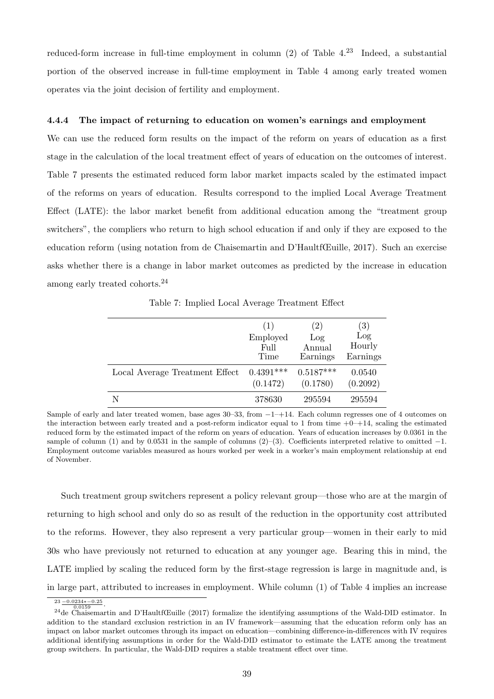reduced-form increase in full-time employment in column  $(2)$  of Table [4.](#page-37-0)<sup>[23](#page--1-0)</sup> Indeed, a substantial portion of the observed increase in full-time employment in Table [4](#page-37-0) among early treated women operates via the joint decision of fertility and employment.

#### 4.4.4 The impact of returning to education on women's earnings and employment

We can use the reduced form results on the impact of the reform on years of education as a first stage in the calculation of the local treatment effect of years of education on the outcomes of interest. Table [7](#page-40-0) presents the estimated reduced form labor market impacts scaled by the estimated impact of the reforms on years of education. Results correspond to the implied Local Average Treatment Effect (LATE): the labor market benefit from additional education among the "treatment group switchers", the compliers who return to high school education if and only if they are exposed to the education reform (using notation from [de Chaisemartin and D'HaultfŒuille, 2017\)](#page-50-5). Such an exercise asks whether there is a change in labor market outcomes as predicted by the increase in education among early treated cohorts.[24](#page--1-0)

Table 7: Implied Local Average Treatment Effect

<span id="page-40-0"></span>

|                                | (1)         | (2)         | (3)      |
|--------------------------------|-------------|-------------|----------|
|                                | Employed    | Log         | Log      |
|                                | Full        | Annual      | Hourly   |
|                                | Time        | Earnings    | Earnings |
| Local Average Treatment Effect | $0.4391***$ | $0.5187***$ | 0.0540   |
|                                | (0.1472)    | (0.1780)    | (0.2092) |
| N                              | 378630      | 295594      | 295594   |

Sample of early and later treated women, base ages  $30-33$ , from  $-1-14$ . Each column regresses one of 4 outcomes on the interaction between early treated and a post-reform indicator equal to 1 from time  $+0$ – $+14$ , scaling the estimated reduced form by the estimated impact of the reform on years of education. Years of education increases by 0.0361 in the sample of column (1) and by 0.0531 in the sample of columns  $(2)$ –(3). Coefficients interpreted relative to omitted -1. Employment outcome variables measured as hours worked per week in a worker's main employment relationship at end of November.

Such treatment group switchers represent a policy relevant group—those who are at the margin of returning to high school and only do so as result of the reduction in the opportunity cost attributed to the reforms. However, they also represent a very particular group—women in their early to mid 30s who have previously not returned to education at any younger age. Bearing this in mind, the LATE implied by scaling the reduced form by the first-stage regression is large in magnitude and, is in large part, attributed to increases in employment. While column (1) of Table [4](#page-37-0) implies an increase

 $\frac{23 - 0.0234 \cdot 0.025}{0.0159}$ .

<sup>&</sup>lt;sup>24</sup>[de Chaisemartin and D'HaultfŒuille](#page-50-5) [\(2017\)](#page-50-5) formalize the identifying assumptions of the Wald-DID estimator. In addition to the standard exclusion restriction in an IV framework—assuming that the education reform only has an impact on labor market outcomes through its impact on education—combining difference-in-differences with IV requires additional identifying assumptions in order for the Wald-DID estimator to estimate the LATE among the treatment group switchers. In particular, the Wald-DID requires a stable treatment effect over time.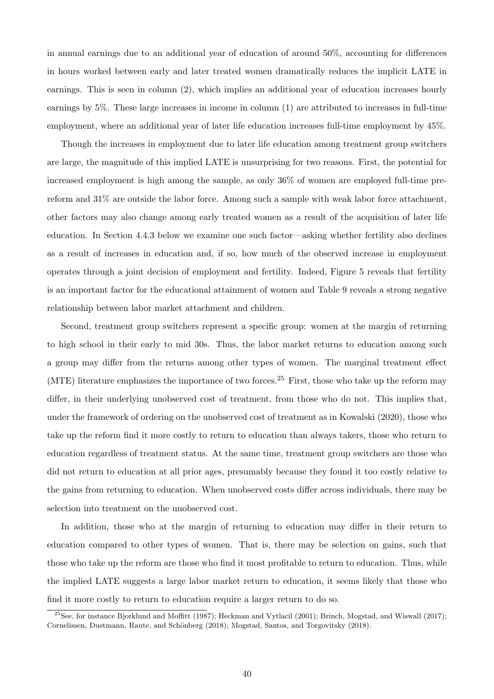in annual earnings due to an additional year of education of around 50%, accounting for differences in hours worked between early and later treated women dramatically reduces the implicit LATE in earnings. This is seen in column (2), which implies an additional year of education increases hourly earnings by 5%. These large increases in income in column (1) are attributed to increases in full-time employment, where an additional year of later life education increases full-time employment by 45%.

Though the increases in employment due to later life education among treatment group switchers are large, the magnitude of this implied LATE is unsurprising for two reasons. First, the potential for increased employment is high among the sample, as only 36% of women are employed full-time prereform and 31% are outside the labor force. Among such a sample with weak labor force attachment, other factors may also change among early treated women as a result of the acquisition of later life education. In Section [4.4.3](#page-38-1) below we examine one such factor—asking whether fertility also declines as a result of increases in education and, if so, how much of the observed increase in employment operates through a joint decision of employment and fertility. Indeed, Figure [5](#page-15-0) reveals that fertility is an important factor for the educational attainment of women and Table [9](#page-43-0) reveals a strong negative relationship between labor market attachment and children.

Second, treatment group switchers represent a specific group: women at the margin of returning to high school in their early to mid 30s. Thus, the labor market returns to education among such a group may differ from the returns among other types of women. The marginal treatment effect (MTE) literature emphasizes the importance of two forces.<sup>[25](#page--1-0)</sup> First, those who take up the reform may differ, in their underlying unobserved cost of treatment, from those who do not. This implies that, under the framework of ordering on the unobserved cost of treatment as in [Kowalski](#page-51-8) [\(2020\)](#page-51-8), those who take up the reform find it more costly to return to education than always takers, those who return to education regardless of treatment status. At the same time, treatment group switchers are those who did not return to education at all prior ages, presumably because they found it too costly relative to the gains from returning to education. When unobserved costs differ across individuals, there may be selection into treatment on the unobserved cost.

In addition, those who at the margin of returning to education may differ in their return to education compared to other types of women. That is, there may be selection on gains, such that those who take up the reform are those who find it most profitable to return to education. Thus, while the implied LATE suggests a large labor market return to education, it seems likely that those who find it more costly to return to education require a larger return to do so.

<sup>&</sup>lt;sup>25</sup>See, for instance [Bjorklund and Moffitt](#page-49-11) [\(1987\)](#page-49-11); [Heckman and Vytlacil](#page-51-9) [\(2001\)](#page-51-9); [Brinch, Mogstad, and Wiswall](#page-50-6) [\(2017\)](#page-50-6); Cornelissen, Dustmann, Raute, and Schönberg [\(2018\)](#page-52-6); [Mogstad, Santos, and Torgovitsky](#page-52-6) (2018).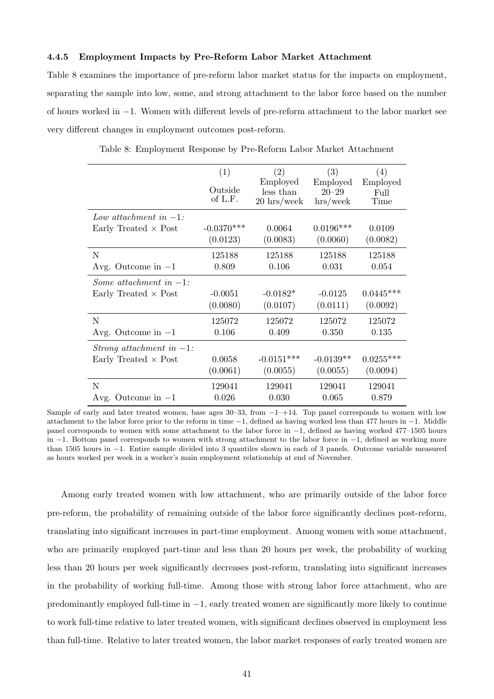#### 4.4.5 Employment Impacts by Pre-Reform Labor Market Attachment

Table [8](#page-42-0) examines the importance of pre-reform labor market status for the impacts on employment, separating the sample into low, some, and strong attachment to the labor force based on the number of hours worked in −1. Women with different levels of pre-reform attachment to the labor market see very different changes in employment outcomes post-reform.

<span id="page-42-0"></span>

|                             | (1)          | (2)                          | (3)                 | (4)         |
|-----------------------------|--------------|------------------------------|---------------------|-------------|
|                             |              | Employed                     | Employed            | Employed    |
|                             | Outside      | less than                    | $20 - 29$           | Full        |
|                             | of L.F.      | $20 \text{ hrs}/\text{week}$ | $\frac{h}{s}$ /week | Time        |
|                             |              |                              |                     |             |
| Low attachment in $-1$ :    |              |                              |                     |             |
| Early Treated $\times$ Post | $-0.0370***$ | 0.0064                       | $0.0196***$         | 0.0109      |
|                             | (0.0123)     | (0.0083)                     | (0.0060)            | (0.0082)    |
| N                           | 125188       | 125188                       | 125188              | 125188      |
| Avg. Outcome in $-1$        | 0.809        | 0.106                        | 0.031               | 0.054       |
| Some attachment in $-1$ :   |              |                              |                     |             |
| Early Treated $\times$ Post | $-0.0051$    | $-0.0182*$                   | $-0.0125$           | $0.0445***$ |
|                             | (0.0080)     | (0.0107)                     | (0.0111)            | (0.0092)    |
| N                           | 125072       | 125072                       | 125072              | 125072      |
| Avg. Outcome in $-1$        | 0.106        | 0.409                        | 0.350               | 0.135       |
| Strong attachment in $-1$ : |              |                              |                     |             |
| Early Treated $\times$ Post | 0.0058       | $-0.0151***$                 | $-0.0139**$         | $0.0255***$ |
|                             | (0.0061)     | (0.0055)                     | (0.0055)            | (0.0094)    |
| N                           | 129041       | 129041                       | 129041              | 129041      |
| Avg. Outcome in $-1$        | 0.026        | 0.030                        | 0.065               | 0.879       |

Table 8: Employment Response by Pre-Reform Labor Market Attachment

Sample of early and later treated women, base ages  $30-33$ , from  $-1+14$ . Top panel corresponds to women with low attachment to the labor force prior to the reform in time −1, defined as having worked less than 477 hours in −1. Middle panel corresponds to women with some attachment to the labor force in −1, defined as having worked 477–1505 hours in −1. Bottom panel corresponds to women with strong attachment to the labor force in −1, defined as working more than 1505 hours in −1. Entire sample divided into 3 quantiles shown in each of 3 panels. Outcome variable measured as hours worked per week in a worker's main employment relationship at end of November.

Among early treated women with low attachment, who are primarily outside of the labor force pre-reform, the probability of remaining outside of the labor force significantly declines post-reform, translating into significant increases in part-time employment. Among women with some attachment, who are primarily employed part-time and less than 20 hours per week, the probability of working less than 20 hours per week significantly decreases post-reform, translating into significant increases in the probability of working full-time. Among those with strong labor force attachment, who are predominantly employed full-time in −1, early treated women are significantly more likely to continue to work full-time relative to later treated women, with significant declines observed in employment less than full-time. Relative to later treated women, the labor market responses of early treated women are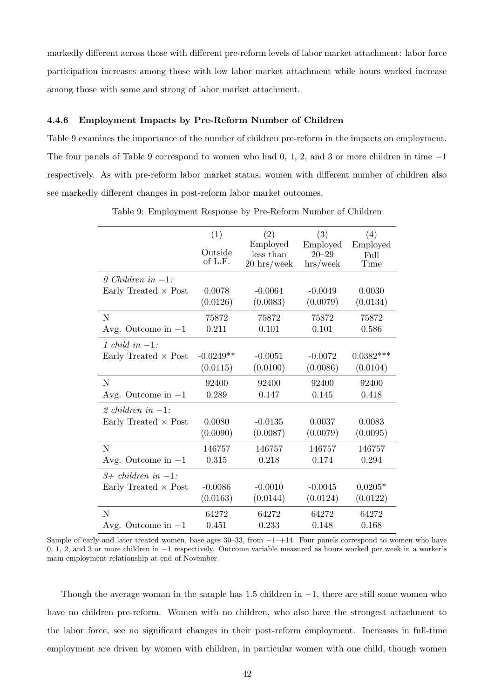markedly different across those with different pre-reform levels of labor market attachment: labor force participation increases among those with low labor market attachment while hours worked increase among those with some and strong of labor market attachment.

#### 4.4.6 Employment Impacts by Pre-Reform Number of Children

Table [9](#page-43-0) examines the importance of the number of children pre-reform in the impacts on employment. The four panels of Table [9](#page-43-0) correspond to women who had  $0, 1, 2,$  and 3 or more children in time  $-1$ respectively. As with pre-reform labor market status, women with different number of children also see markedly different changes in post-reform labor market outcomes.

<span id="page-43-0"></span>

|                             | (1)<br>Outside<br>of L.F. | (2)<br>Employed<br>less than<br>$20 \text{ hrs}/\text{week}$ | (3)<br>Employed<br>$20 - 29$<br>$\frac{h}{s}$ /week | (4)<br>Employed<br>Full<br>Time |
|-----------------------------|---------------------------|--------------------------------------------------------------|-----------------------------------------------------|---------------------------------|
| 0 Children in $-1$ :        |                           |                                                              |                                                     |                                 |
| Early Treated $\times$ Post | 0.0078<br>(0.0126)        | $-0.0064$<br>(0.0083)                                        | $-0.0049$<br>(0.0079)                               | 0.0030<br>(0.0134)              |
| N                           | 75872                     | 75872                                                        | 75872                                               | 75872                           |
| Avg. Outcome in $-1$        | 0.211                     | 0.101                                                        | 0.101                                               | 0.586                           |
| 1 child in $-1$ :           |                           |                                                              |                                                     |                                 |
| Early Treated $\times$ Post | $-0.0249**$               | $-0.0051$                                                    | $-0.0072$                                           | $0.0382***$                     |
|                             | (0.0115)                  | (0.0100)                                                     | (0.0086)                                            | (0.0104)                        |
| N                           | 92400                     | 92400                                                        | 92400                                               | 92400                           |
| Avg. Outcome in $-1$        | 0.289                     | 0.147                                                        | 0.145                                               | 0.418                           |
| 2 children in $-1$ :        |                           |                                                              |                                                     |                                 |
| Early Treated $\times$ Post | 0.0080                    | $-0.0135$                                                    | 0.0037                                              | 0.0083                          |
|                             | (0.0090)                  | (0.0087)                                                     | (0.0079)                                            | (0.0095)                        |
| N                           | 146757                    | 146757                                                       | 146757                                              | 146757                          |
| Avg. Outcome in $-1$        | 0.315                     | 0.218                                                        | 0.174                                               | 0.294                           |
| $3+$ children in $-1$ :     |                           |                                                              |                                                     |                                 |
| Early Treated $\times$ Post | $-0.0086$                 | $-0.0010$                                                    | $-0.0045$                                           | $0.0205*$                       |
|                             | (0.0163)                  | (0.0144)                                                     | (0.0124)                                            | (0.0122)                        |
| N                           | 64272                     | 64272                                                        | 64272                                               | 64272                           |
| Avg. Outcome in $-1$        | 0.451                     | 0.233                                                        | 0.148                                               | 0.168                           |

Table 9: Employment Response by Pre-Reform Number of Children

Though the average woman in the sample has 1.5 children in  $-1$ , there are still some women who have no children pre-reform. Women with no children, who also have the strongest attachment to the labor force, see no significant changes in their post-reform employment. Increases in full-time employment are driven by women with children, in particular women with one child, though women

Sample of early and later treated women, base ages 30–33, from  $-1-+14$ . Four panels correspond to women who have 0, 1, 2, and 3 or more children in −1 respectively. Outcome variable measured as hours worked per week in a worker's main employment relationship at end of November.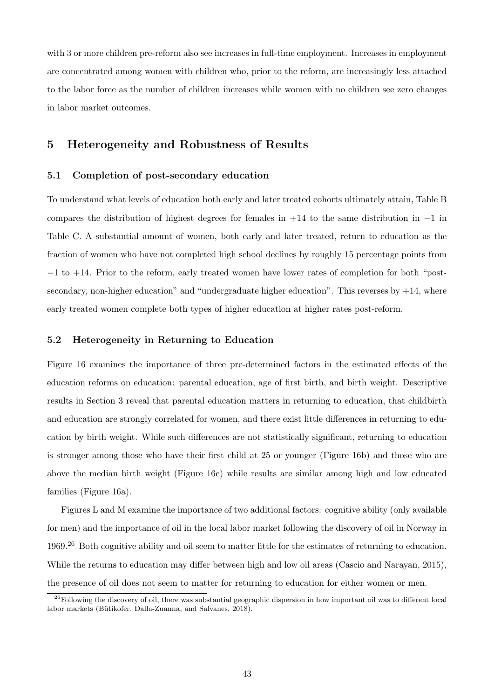with 3 or more children pre-reform also see increases in full-time employment. Increases in employment are concentrated among women with children who, prior to the reform, are increasingly less attached to the labor force as the number of children increases while women with no children see zero changes in labor market outcomes.

### <span id="page-44-0"></span>5 Heterogeneity and Robustness of Results

#### 5.1 Completion of post-secondary education

To understand what levels of education both early and later treated cohorts ultimately attain, Table [B](#page-64-0) compares the distribution of highest degrees for females in +14 to the same distribution in −1 in Table [C.](#page-64-1) A substantial amount of women, both early and later treated, return to education as the fraction of women who have not completed high school declines by roughly 15 percentage points from −1 to +14. Prior to the reform, early treated women have lower rates of completion for both "postsecondary, non-higher education" and "undergraduate higher education". This reverses by  $+14$ , where early treated women complete both types of higher education at higher rates post-reform.

#### 5.2 Heterogeneity in Returning to Education

Figure [16](#page-45-0) examines the importance of three pre-determined factors in the estimated effects of the education reforms on education: parental education, age of first birth, and birth weight. Descriptive results in Section [3](#page-9-0) reveal that parental education matters in returning to education, that childbirth and education are strongly correlated for women, and there exist little differences in returning to education by birth weight. While such differences are not statistically significant, returning to education is stronger among those who have their first child at 25 or younger (Figure [16b\)](#page-45-0) and those who are above the median birth weight (Figure [16c\)](#page-45-0) while results are similar among high and low educated families (Figure [16a\)](#page-45-0).

Figures [L](#page-66-0) and [M](#page-66-1) examine the importance of two additional factors: cognitive ability (only available for men) and the importance of oil in the local labor market following the discovery of oil in Norway in 1969.[26](#page--1-0) Both cognitive ability and oil seem to matter little for the estimates of returning to education. While the returns to education may differ between high and low oil areas [\(Cascio and Narayan, 2015\)](#page-50-8), the presence of oil does not seem to matter for returning to education for either women or men.

 $^{26}$ Following the discovery of oil, there was substantial geographic dispersion in how important oil was to different local labor markets (Bütikofer, Dalla-Zuanna, and Salvanes, 2018).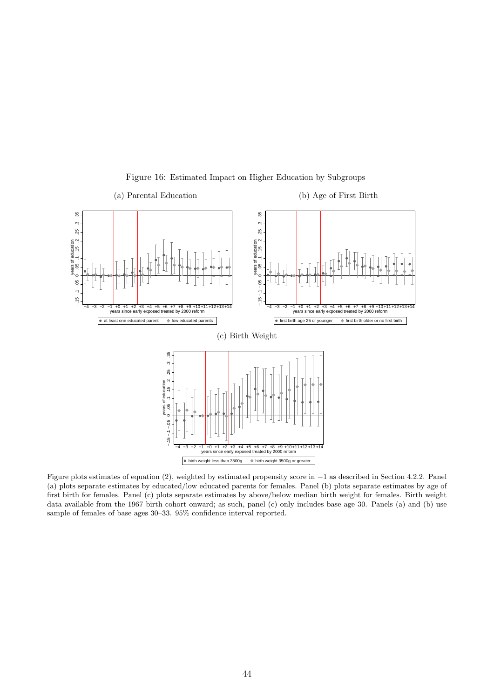<span id="page-45-0"></span>

Figure 16: Estimated Impact on Higher Education by Subgroups

Figure plots estimates of equation [\(2\)](#page-29-0), weighted by estimated propensity score in −1 as described in Section [4.2.2.](#page-30-1) Panel (a) plots separate estimates by educated/low educated parents for females. Panel (b) plots separate estimates by age of first birth for females. Panel (c) plots separate estimates by above/below median birth weight for females. Birth weight data available from the 1967 birth cohort onward; as such, panel (c) only includes base age 30. Panels (a) and (b) use sample of females of base ages 30–33. 95% confidence interval reported.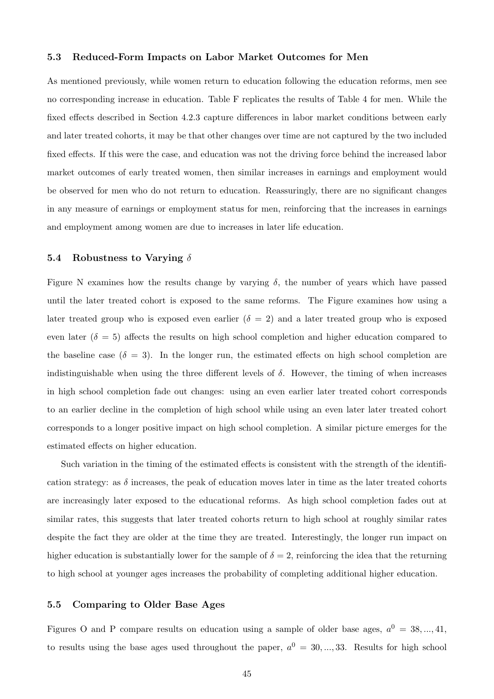#### 5.3 Reduced-Form Impacts on Labor Market Outcomes for Men

As mentioned previously, while women return to education following the education reforms, men see no corresponding increase in education. Table [F](#page-67-0) replicates the results of Table [4](#page-37-0) for men. While the fixed effects described in Section [4.2.3](#page-32-0) capture differences in labor market conditions between early and later treated cohorts, it may be that other changes over time are not captured by the two included fixed effects. If this were the case, and education was not the driving force behind the increased labor market outcomes of early treated women, then similar increases in earnings and employment would be observed for men who do not return to education. Reassuringly, there are no significant changes in any measure of earnings or employment status for men, reinforcing that the increases in earnings and employment among women are due to increases in later life education.

#### 5.4 Robustness to Varying  $\delta$

Figure [N](#page-68-0) examines how the results change by varying  $\delta$ , the number of years which have passed until the later treated cohort is exposed to the same reforms. The Figure examines how using a later treated group who is exposed even earlier  $(\delta = 2)$  and a later treated group who is exposed even later  $(\delta = 5)$  affects the results on high school completion and higher education compared to the baseline case  $(\delta = 3)$ . In the longer run, the estimated effects on high school completion are indistinguishable when using the three different levels of  $\delta$ . However, the timing of when increases in high school completion fade out changes: using an even earlier later treated cohort corresponds to an earlier decline in the completion of high school while using an even later later treated cohort corresponds to a longer positive impact on high school completion. A similar picture emerges for the estimated effects on higher education.

Such variation in the timing of the estimated effects is consistent with the strength of the identification strategy: as  $\delta$  increases, the peak of education moves later in time as the later treated cohorts are increasingly later exposed to the educational reforms. As high school completion fades out at similar rates, this suggests that later treated cohorts return to high school at roughly similar rates despite the fact they are older at the time they are treated. Interestingly, the longer run impact on higher education is substantially lower for the sample of  $\delta = 2$ , reinforcing the idea that the returning to high school at younger ages increases the probability of completing additional higher education.

#### <span id="page-46-0"></span>5.5 Comparing to Older Base Ages

Figures [O](#page-68-1) and [P](#page-69-0) compare results on education using a sample of older base ages,  $a^0 = 38, ..., 41$ , to results using the base ages used throughout the paper,  $a^0 = 30, ..., 33$ . Results for high school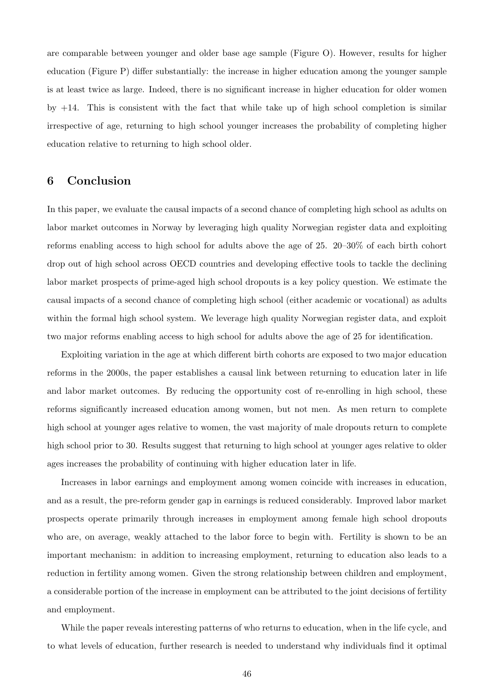are comparable between younger and older base age sample (Figure [O\)](#page-68-1). However, results for higher education (Figure [P\)](#page-69-0) differ substantially: the increase in higher education among the younger sample is at least twice as large. Indeed, there is no significant increase in higher education for older women by  $+14$ . This is consistent with the fact that while take up of high school completion is similar irrespective of age, returning to high school younger increases the probability of completing higher education relative to returning to high school older.

### <span id="page-47-0"></span>6 Conclusion

In this paper, we evaluate the causal impacts of a second chance of completing high school as adults on labor market outcomes in Norway by leveraging high quality Norwegian register data and exploiting reforms enabling access to high school for adults above the age of 25. 20–30% of each birth cohort drop out of high school across OECD countries and developing effective tools to tackle the declining labor market prospects of prime-aged high school dropouts is a key policy question. We estimate the causal impacts of a second chance of completing high school (either academic or vocational) as adults within the formal high school system. We leverage high quality Norwegian register data, and exploit two major reforms enabling access to high school for adults above the age of 25 for identification.

Exploiting variation in the age at which different birth cohorts are exposed to two major education reforms in the 2000s, the paper establishes a causal link between returning to education later in life and labor market outcomes. By reducing the opportunity cost of re-enrolling in high school, these reforms significantly increased education among women, but not men. As men return to complete high school at younger ages relative to women, the vast majority of male dropouts return to complete high school prior to 30. Results suggest that returning to high school at younger ages relative to older ages increases the probability of continuing with higher education later in life.

Increases in labor earnings and employment among women coincide with increases in education, and as a result, the pre-reform gender gap in earnings is reduced considerably. Improved labor market prospects operate primarily through increases in employment among female high school dropouts who are, on average, weakly attached to the labor force to begin with. Fertility is shown to be an important mechanism: in addition to increasing employment, returning to education also leads to a reduction in fertility among women. Given the strong relationship between children and employment, a considerable portion of the increase in employment can be attributed to the joint decisions of fertility and employment.

While the paper reveals interesting patterns of who returns to education, when in the life cycle, and to what levels of education, further research is needed to understand why individuals find it optimal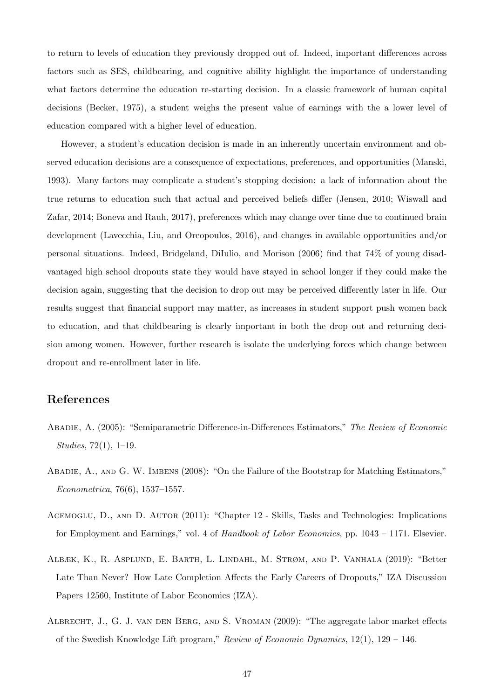to return to levels of education they previously dropped out of. Indeed, important differences across factors such as SES, childbearing, and cognitive ability highlight the importance of understanding what factors determine the education re-starting decision. In a classic framework of human capital decisions [\(Becker, 1975\)](#page-49-12), a student weighs the present value of earnings with the a lower level of education compared with a higher level of education.

However, a student's education decision is made in an inherently uncertain environment and observed education decisions are a consequence of expectations, preferences, and opportunities [\(Manski,](#page-51-10) [1993\)](#page-51-10). Many factors may complicate a student's stopping decision: a lack of information about the true returns to education such that actual and perceived beliefs differ [\(Jensen, 2010;](#page-51-11) [Wiswall and](#page-52-7) [Zafar, 2014;](#page-52-7) [Boneva and Rauh, 2017\)](#page-50-10), preferences which may change over time due to continued brain development [\(Lavecchia, Liu, and Oreopoulos, 2016\)](#page-51-12), and changes in available opportunities and/or personal situations. Indeed, [Bridgeland, DiIulio, and Morison](#page-50-11) [\(2006\)](#page-50-11) find that 74% of young disadvantaged high school dropouts state they would have stayed in school longer if they could make the decision again, suggesting that the decision to drop out may be perceived differently later in life. Our results suggest that financial support may matter, as increases in student support push women back to education, and that childbearing is clearly important in both the drop out and returning decision among women. However, further research is isolate the underlying forces which change between dropout and re-enrollment later in life.

### References

- <span id="page-48-3"></span>Abadie, A. (2005): "Semiparametric Difference-in-Differences Estimators," The Review of Economic Studies, 72(1), 1–19.
- <span id="page-48-4"></span>Abadie, A., and G. W. Imbens (2008): "On the Failure of the Bootstrap for Matching Estimators," Econometrica, 76(6), 1537–1557.
- <span id="page-48-0"></span>ACEMOGLU, D., AND D. AUTOR (2011): "Chapter 12 - Skills, Tasks and Technologies: Implications for Employment and Earnings," vol. 4 of Handbook of Labor Economics, pp. 1043 – 1171. Elsevier.
- <span id="page-48-2"></span>Albæk, K., R. Asplund, E. Barth, L. Lindahl, M. Strøm, and P. Vanhala (2019): "Better Late Than Never? How Late Completion Affects the Early Careers of Dropouts," IZA Discussion Papers 12560, Institute of Labor Economics (IZA).
- <span id="page-48-1"></span>Albrecht, J., G. J. van den Berg, and S. Vroman (2009): "The aggregate labor market effects of the Swedish Knowledge Lift program," Review of Economic Dynamics,  $12(1)$ ,  $129 - 146$ .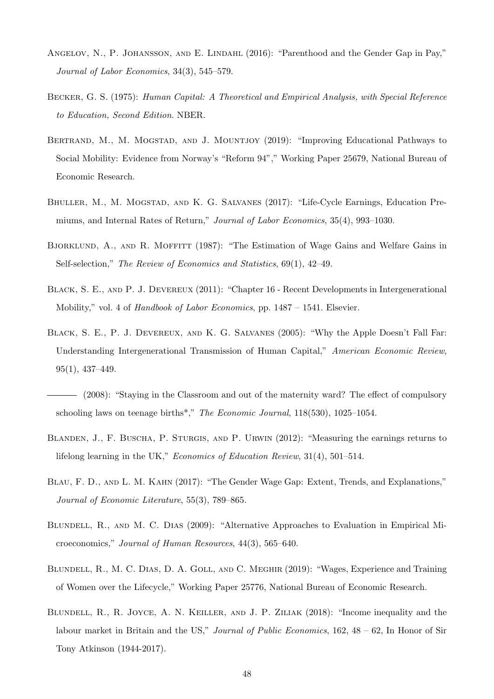- <span id="page-49-7"></span>ANGELOV, N., P. JOHANSSON, AND E. LINDAHL (2016): "Parenthood and the Gender Gap in Pay," Journal of Labor Economics, 34(3), 545–579.
- <span id="page-49-12"></span>Becker, G. S. (1975): Human Capital: A Theoretical and Empirical Analysis, with Special Reference to Education, Second Edition. NBER.
- <span id="page-49-9"></span>BERTRAND, M., M. MOGSTAD, AND J. MOUNTJOY (2019): "Improving Educational Pathways to Social Mobility: Evidence from Norway's "Reform 94"," Working Paper 25679, National Bureau of Economic Research.
- <span id="page-49-4"></span>BHULLER, M., M. MOGSTAD, AND K. G. SALVANES (2017): "Life-Cycle Earnings, Education Premiums, and Internal Rates of Return," Journal of Labor Economics, 35(4), 993–1030.
- <span id="page-49-11"></span>BJORKLUND, A., AND R. MOFFITT (1987): "The Estimation of Wage Gains and Welfare Gains in Self-selection," The Review of Economics and Statistics, 69(1), 42–49.
- <span id="page-49-10"></span>Black, S. E., and P. J. Devereux (2011): "Chapter 16 - Recent Developments in Intergenerational Mobility," vol. 4 of Handbook of Labor Economics, pp. 1487 – 1541. Elsevier.
- <span id="page-49-8"></span>Black, S. E., P. J. Devereux, and K. G. Salvanes (2005): "Why the Apple Doesn't Fall Far: Understanding Intergenerational Transmission of Human Capital," American Economic Review, 95(1), 437–449.
- <span id="page-49-3"></span>(2008): "Staying in the Classroom and out of the maternity ward? The effect of compulsory schooling laws on teenage births\*," The Economic Journal, 118(530), 1025–1054.
- <span id="page-49-1"></span>BLANDEN, J., F. BUSCHA, P. STURGIS, AND P. URWIN (2012): "Measuring the earnings returns to lifelong learning in the UK," Economics of Education Review, 31(4), 501–514.
- <span id="page-49-6"></span>Blau, F. D., and L. M. Kahn (2017): "The Gender Wage Gap: Extent, Trends, and Explanations," Journal of Economic Literature, 55(3), 789–865.
- <span id="page-49-5"></span>BLUNDELL, R., AND M. C. DIAS (2009): "Alternative Approaches to Evaluation in Empirical Microeconomics," Journal of Human Resources, 44(3), 565–640.
- <span id="page-49-2"></span>BLUNDELL, R., M. C. DIAS, D. A. GOLL, AND C. MEGHIR (2019): "Wages, Experience and Training of Women over the Lifecycle," Working Paper 25776, National Bureau of Economic Research.
- <span id="page-49-0"></span>Blundell, R., R. Joyce, A. N. Keiller, and J. P. Ziliak (2018): "Income inequality and the labour market in Britain and the US," *Journal of Public Economics*, 162, 48 – 62, In Honor of Sir Tony Atkinson (1944-2017).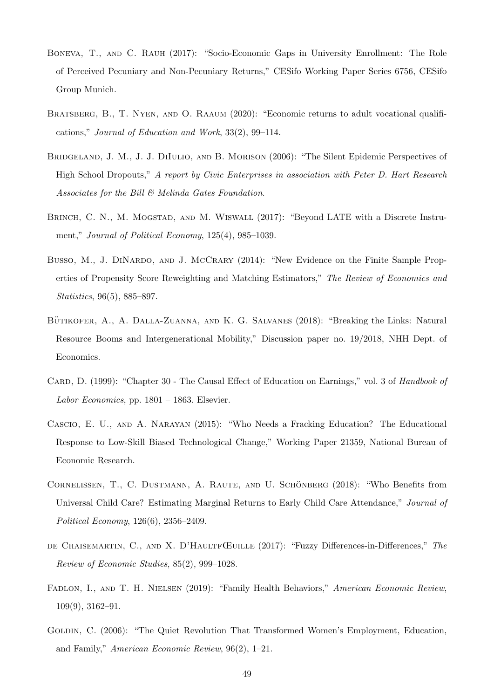- <span id="page-50-10"></span>Boneva, T., and C. Rauh (2017): "Socio-Economic Gaps in University Enrollment: The Role of Perceived Pecuniary and Non-Pecuniary Returns," CESifo Working Paper Series 6756, CESifo Group Munich.
- <span id="page-50-1"></span>BRATSBERG, B., T. NYEN, AND O. RAAUM (2020): "Economic returns to adult vocational qualifications," Journal of Education and Work, 33(2), 99–114.
- <span id="page-50-11"></span>BRIDGELAND, J. M., J. J. DIIULIO, AND B. MORISON (2006): "The Silent Epidemic Perspectives of High School Dropouts," A report by Civic Enterprises in association with Peter D. Hart Research Associates for the Bill & Melinda Gates Foundation.
- <span id="page-50-6"></span>BRINCH, C. N., M. MOGSTAD, AND M. WISWALL (2017): "Beyond LATE with a Discrete Instrument," Journal of Political Economy, 125(4), 985–1039.
- <span id="page-50-4"></span>Busso, M., J. DINARDO, AND J. MCCRARY (2014): "New Evidence on the Finite Sample Properties of Propensity Score Reweighting and Matching Estimators," The Review of Economics and Statistics, 96(5), 885–897.
- <span id="page-50-9"></span>BÜTIKOFER, A., A. DALLA-ZUANNA, AND K. G. SALVANES (2018): "Breaking the Links: Natural Resource Booms and Intergenerational Mobility," Discussion paper no. 19/2018, NHH Dept. of Economics.
- <span id="page-50-0"></span>CARD, D. (1999): "Chapter 30 - The Causal Effect of Education on Earnings," vol. 3 of Handbook of Labor Economics, pp.  $1801 - 1863$ . Elsevier.
- <span id="page-50-8"></span>Cascio, E. U., and A. Narayan (2015): "Who Needs a Fracking Education? The Educational Response to Low-Skill Biased Technological Change," Working Paper 21359, National Bureau of Economic Research.
- <span id="page-50-7"></span>CORNELISSEN, T., C. DUSTMANN, A. RAUTE, AND U. SCHÖNBERG (2018): "Who Benefits from Universal Child Care? Estimating Marginal Returns to Early Child Care Attendance," Journal of Political Economy, 126(6), 2356–2409.
- <span id="page-50-5"></span>DE CHAISEMARTIN, C., AND X. D'HAULTFŒUILLE (2017): "Fuzzy Differences-in-Differences," The Review of Economic Studies, 85(2), 999–1028.
- <span id="page-50-3"></span>FADLON, I., AND T. H. NIELSEN (2019): "Family Health Behaviors," American Economic Review, 109(9), 3162–91.
- <span id="page-50-2"></span>GOLDIN, C. (2006): "The Quiet Revolution That Transformed Women's Employment, Education, and Family," American Economic Review, 96(2), 1–21.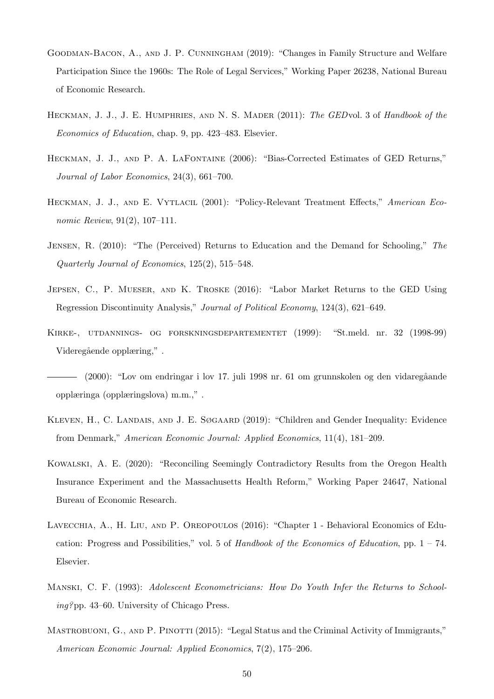- <span id="page-51-4"></span>Goodman-Bacon, A., and J. P. Cunningham (2019): "Changes in Family Structure and Welfare Participation Since the 1960s: The Role of Legal Services," Working Paper 26238, National Bureau of Economic Research.
- <span id="page-51-0"></span>HECKMAN, J. J., J. E. HUMPHRIES, AND N. S. MADER (2011): The GEDvol. 3 of Handbook of the Economics of Education, chap. 9, pp. 423–483. Elsevier.
- <span id="page-51-1"></span>Heckman, J. J., and P. A. LaFontaine (2006): "Bias-Corrected Estimates of GED Returns," Journal of Labor Economics, 24(3), 661–700.
- <span id="page-51-9"></span>HECKMAN, J. J., AND E. VYTLACIL (2001): "Policy-Relevant Treatment Effects," American Economic Review, 91(2), 107–111.
- <span id="page-51-11"></span>Jensen, R. (2010): "The (Perceived) Returns to Education and the Demand for Schooling," The Quarterly Journal of Economics, 125(2), 515–548.
- <span id="page-51-2"></span>Jepsen, C., P. Mueser, and K. Troske (2016): "Labor Market Returns to the GED Using Regression Discontinuity Analysis," Journal of Political Economy, 124(3), 621–649.
- <span id="page-51-7"></span>Kirke-, utdannings- og forskningsdepartementet (1999): "St.meld. nr. 32 (1998-99) Videregående opplæring,".
- <span id="page-51-6"></span>(2000): "Lov om endringar i lov 17. juli 1998 nr. 61 om grunnskolen og den vidareg˚aande opplæringa (opplæringslova) m.m.," .
- <span id="page-51-5"></span>KLEVEN, H., C. LANDAIS, AND J. E. SØGAARD (2019): "Children and Gender Inequality: Evidence from Denmark," American Economic Journal: Applied Economics, 11(4), 181–209.
- <span id="page-51-8"></span>Kowalski, A. E. (2020): "Reconciling Seemingly Contradictory Results from the Oregon Health Insurance Experiment and the Massachusetts Health Reform," Working Paper 24647, National Bureau of Economic Research.
- <span id="page-51-12"></span>Lavecchia, A., H. Liu, and P. Oreopoulos (2016): "Chapter 1 - Behavioral Economics of Education: Progress and Possibilities," vol. 5 of Handbook of the Economics of Education, pp.  $1 - 74$ . Elsevier.
- <span id="page-51-10"></span>Manski, C. F. (1993): Adolescent Econometricians: How Do Youth Infer the Returns to Schooling?pp. 43–60. University of Chicago Press.
- <span id="page-51-3"></span>MASTROBUONI, G., AND P. PINOTTI (2015): "Legal Status and the Criminal Activity of Immigrants," American Economic Journal: Applied Economics, 7(2), 175–206.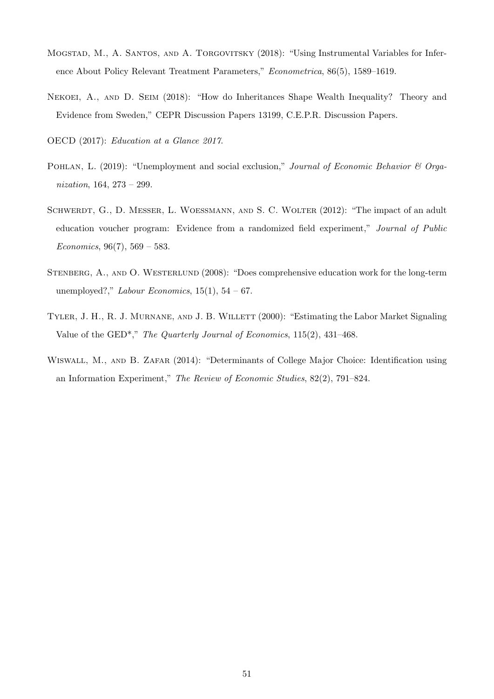- <span id="page-52-6"></span>Mogstad, M., A. Santos, and A. Torgovitsky (2018): "Using Instrumental Variables for Inference About Policy Relevant Treatment Parameters," Econometrica, 86(5), 1589–1619.
- <span id="page-52-4"></span>Nekoei, A., and D. Seim (2018): "How do Inheritances Shape Wealth Inequality? Theory and Evidence from Sweden," CEPR Discussion Papers 13199, C.E.P.R. Discussion Papers.

<span id="page-52-0"></span>OECD (2017): Education at a Glance 2017.

- <span id="page-52-5"></span>POHLAN, L. (2019): "Unemployment and social exclusion," Journal of Economic Behavior & Organization, 164, 273 – 299.
- <span id="page-52-2"></span>SCHWERDT, G., D. MESSER, L. WOESSMANN, AND S. C. WOLTER (2012): "The impact of an adult education voucher program: Evidence from a randomized field experiment," Journal of Public Economics,  $96(7)$ ,  $569 - 583$ .
- <span id="page-52-3"></span>Stenberg, A., and O. Westerlund (2008): "Does comprehensive education work for the long-term unemployed?," Labour Economics,  $15(1)$ ,  $54-67$ .
- <span id="page-52-1"></span>TYLER, J. H., R. J. MURNANE, AND J. B. WILLETT (2000): "Estimating the Labor Market Signaling Value of the GED\*," The Quarterly Journal of Economics, 115(2), 431–468.
- <span id="page-52-7"></span>WISWALL, M., AND B. ZAFAR (2014): "Determinants of College Major Choice: Identification using an Information Experiment," The Review of Economic Studies, 82(2), 791–824.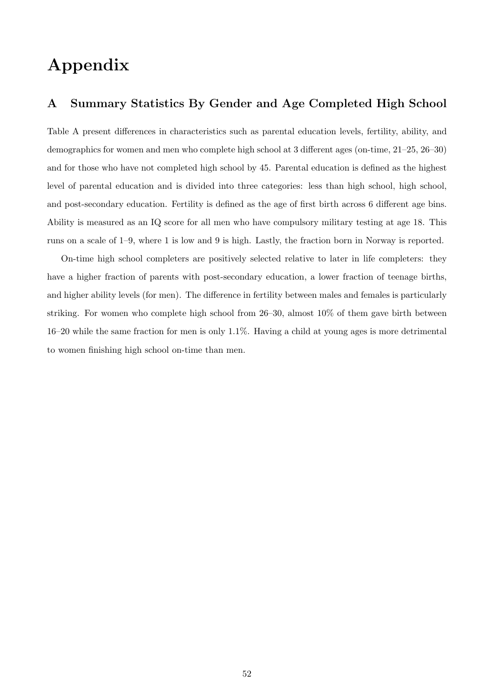# Appendix

### A Summary Statistics By Gender and Age Completed High School

Table [A](#page-54-0) present differences in characteristics such as parental education levels, fertility, ability, and demographics for women and men who complete high school at 3 different ages (on-time, 21–25, 26–30) and for those who have not completed high school by 45. Parental education is defined as the highest level of parental education and is divided into three categories: less than high school, high school, and post-secondary education. Fertility is defined as the age of first birth across 6 different age bins. Ability is measured as an IQ score for all men who have compulsory military testing at age 18. This runs on a scale of 1–9, where 1 is low and 9 is high. Lastly, the fraction born in Norway is reported.

On-time high school completers are positively selected relative to later in life completers: they have a higher fraction of parents with post-secondary education, a lower fraction of teenage births, and higher ability levels (for men). The difference in fertility between males and females is particularly striking. For women who complete high school from  $26-30$ , almost  $10\%$  of them gave birth between 16–20 while the same fraction for men is only 1.1%. Having a child at young ages is more detrimental to women finishing high school on-time than men.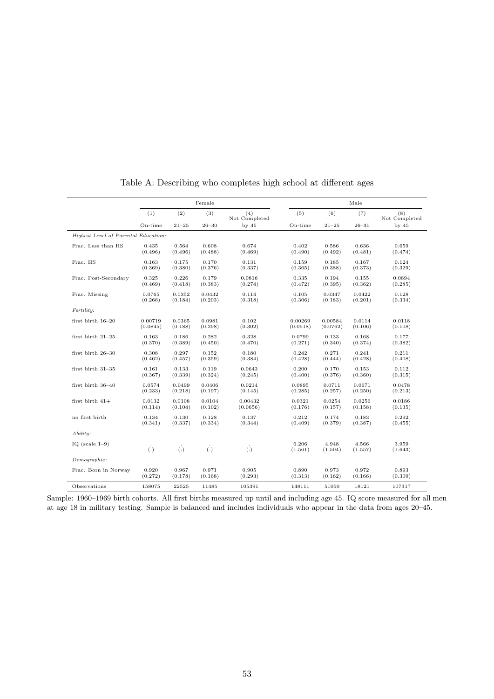<span id="page-54-0"></span>

|                                      | Female   |           |             | Male                 |                  |                  |                  |                      |
|--------------------------------------|----------|-----------|-------------|----------------------|------------------|------------------|------------------|----------------------|
|                                      | (1)      | (2)       | (3)         | (4)<br>Not Completed | (5)              | (6)              | (7)              | (8)<br>Not Completed |
|                                      | On-time  | $21 - 25$ | $26 - 30$   | by $45$              | On-time          | $21 - 25$        | $26 - 30$        | by $45$              |
| Highest Level of Parental Education: |          |           |             |                      |                  |                  |                  |                      |
| Frac. Less than HS                   | 0.435    | 0.564     | 0.608       | 0.674                | 0.402            | 0.586            | 0.636            | 0.659                |
|                                      | (0.496)  | (0.496)   | (0.488)     | (0.469)              | (0.490)          | (0.492)          | (0.481)          | (0.474)              |
| Frac. HS                             | 0.163    | 0.175     | 0.170       | 0.131                | 0.159            | 0.185            | 0.167            | 0.124                |
|                                      | (0.369)  | (0.380)   | (0.376)     | (0.337)              | (0.365)          | (0.388)          | (0.373)          | (0.329)              |
| Frac. Post-Secondary                 | 0.325    | 0.226     | 0.179       | 0.0816               | 0.335            | 0.194            | 0.155            | 0.0894               |
|                                      | (0.469)  | (0.418)   | (0.383)     | (0.274)              | (0.472)          | (0.395)          | (0.362)          | (0.285)              |
| Frac. Missing                        | 0.0765   | 0.0352    | 0.0432      | 0.114                | 0.105            | 0.0347           | 0.0422           | 0.128                |
|                                      | (0.266)  | (0.184)   | (0.203)     | (0.318)              | (0.306)          | (0.183)          | (0.201)          | (0.334)              |
| Fertility:                           |          |           |             |                      |                  |                  |                  |                      |
| first birth 16-20                    | 0.00719  | 0.0365    | 0.0981      | 0.102                | 0.00269          | 0.00584          | 0.0114           | 0.0118               |
|                                      | (0.0845) | (0.188)   | (0.298)     | (0.302)              | (0.0518)         | (0.0762)         | (0.106)          | (0.108)              |
| first birth 21-25                    | 0.163    | 0.186     | 0.282       | 0.328                | 0.0799           | 0.133            | 0.168            | 0.177                |
|                                      | (0.370)  | (0.389)   | (0.450)     | (0.470)              | (0.271)          | (0.340)          | (0.374)          | (0.382)              |
| first birth 26-30                    | 0.308    | 0.297     | 0.152       | 0.180                | 0.242            | 0.271            | 0.241            | 0.211                |
|                                      | (0.462)  | (0.457)   | (0.359)     | (0.384)              | (0.428)          | (0.444)          | (0.428)          | (0.408)              |
| first birth 31-35                    | 0.161    | 0.133     | 0.119       | 0.0643               | 0.200            | 0.170            | 0.153            | 0.112                |
|                                      | (0.367)  | (0.339)   | (0.324)     | (0.245)              | (0.400)          | (0.376)          | (0.360)          | (0.315)              |
| first birth 36-40                    | 0.0574   | 0.0499    | 0.0406      | 0.0214               | 0.0895           | 0.0711           | 0.0671           | 0.0478               |
|                                      | (0.233)  | (0.218)   | (0.197)     | (0.145)              | (0.285)          | (0.257)          | (0.250)          | (0.213)              |
| first birth $41+$                    | 0.0132   | 0.0108    | 0.0104      | 0.00432              | 0.0321           | 0.0254           | 0.0256           | 0.0186               |
|                                      | (0.114)  | (0.104)   | (0.102)     | (0.0656)             | (0.176)          | (0.157)          | (0.158)          | (0.135)              |
| no first birth                       | 0.134    | 0.130     | 0.128       | 0.137                | 0.212            | 0.174            | 0.183            | 0.292                |
|                                      | (0.341)  | (0.337)   | (0.334)     | (0.344)              | (0.409)          | (0.379)          | (0.387)          | (0.455)              |
| $A \, b \, ility$ :                  |          |           |             |                      |                  |                  |                  |                      |
| IQ (scale $1-9$ )                    | (.)      | (.)       | $\dot{(.)}$ | (.)                  | 6.206<br>(1.561) | 4.948<br>(1.504) | 4.566<br>(1.557) | 3.959<br>(1.643)     |
| Demographic:                         |          |           |             |                      |                  |                  |                  |                      |
| Frac. Born in Norway                 | 0.920    | 0.967     | 0.971       | 0.905                | 0.890            | 0.973            | 0.972            | 0.893                |
|                                      | (0.272)  | (0.178)   | (0.168)     | (0.293)              | (0.313)          | (0.162)          | (0.166)          | (0.309)              |
| Observations                         | 158075   | 22525     | 11485       | 105391               | 148111           | 51050            | 18121            | 107317               |

Table A: Describing who completes high school at different ages

Sample: 1960–1969 birth cohorts. All first births measured up until and including age 45. IQ score measured for all men at age 18 in military testing. Sample is balanced and includes individuals who appear in the data from ages 20–45.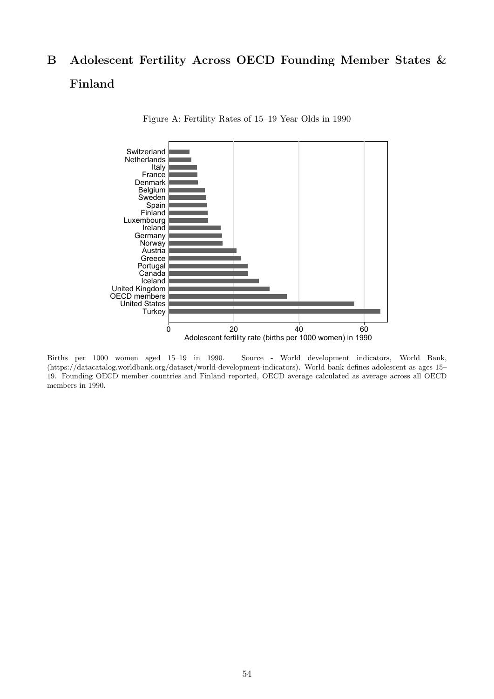# <span id="page-55-0"></span>B Adolescent Fertility Across OECD Founding Member States & Finland



Figure A: Fertility Rates of 15–19 Year Olds in 1990

Births per 1000 women aged 15–19 in 1990. Source - World development indicators, World Bank, (https://datacatalog.worldbank.org/dataset/world-development-indicators). World bank defines adolescent as ages 15– 19. Founding OECD member countries and Finland reported, OECD average calculated as average across all OECD members in 1990.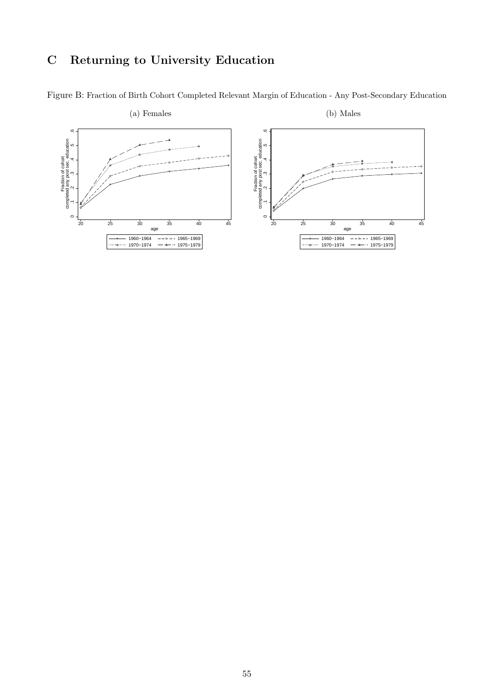## <span id="page-56-1"></span>C Returning to University Education



<span id="page-56-0"></span>Figure B: Fraction of Birth Cohort Completed Relevant Margin of Education - Any Post-Secondary Education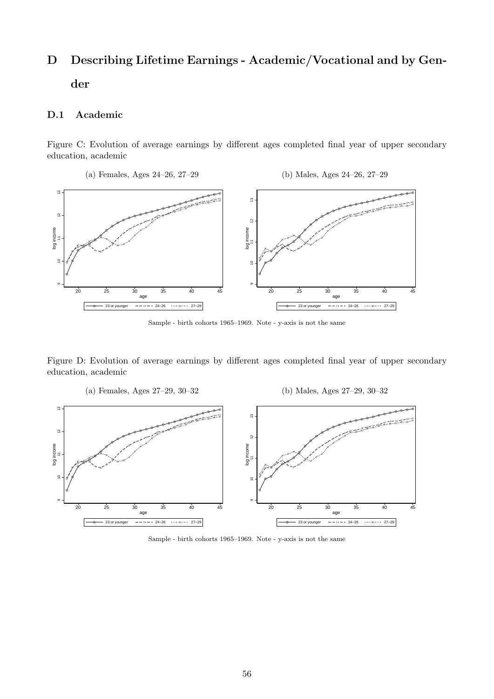# D Describing Lifetime Earnings - Academic/Vocational and by Gender

### D.1 Academic

Figure C: Evolution of average earnings by different ages completed final year of upper secondary education, academic



Sample - birth cohorts 1965–1969. Note - y-axis is not the same

Figure D: Evolution of average earnings by different ages completed final year of upper secondary education, academic

(a) Females, Ages 27–29, 30–32 (b) Males, Ages 27–29, 30–32  $\overline{5}$  10 11 12 13  $\infty$ 10 11 12<br>12<br>12 12 13 <del>000000</del>  $12$  $\frac{2}{3}$ log income log income  $\leq$ ග  $\sigma$ 20 25 30 35 40 45 age 20 25 30 35 40 45 age 23 or younger  $- + - - 24-26$  27−29 23 or younger  $- + - - 24-26$  27−29

Sample - birth cohorts 1965–1969. Note - y-axis is not the same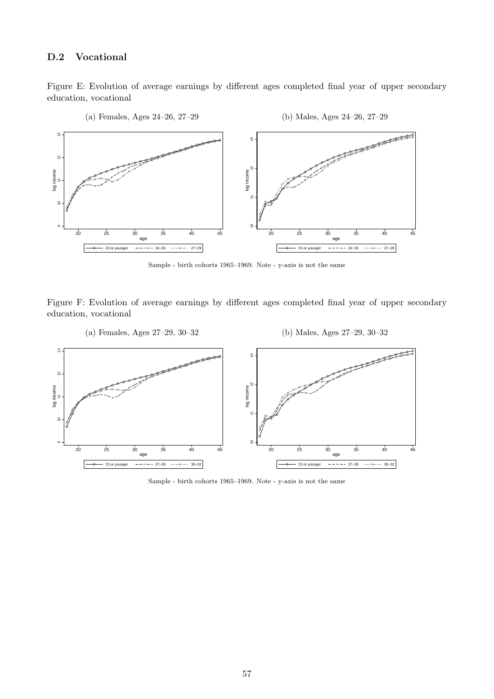#### D.2 Vocational

Figure E: Evolution of average earnings by different ages completed final year of upper secondary education, vocational



Sample - birth cohorts 1965–1969. Note - y-axis is not the same

Figure F: Evolution of average earnings by different ages completed final year of upper secondary education, vocational



Sample - birth cohorts 1965–1969. Note - y-axis is not the same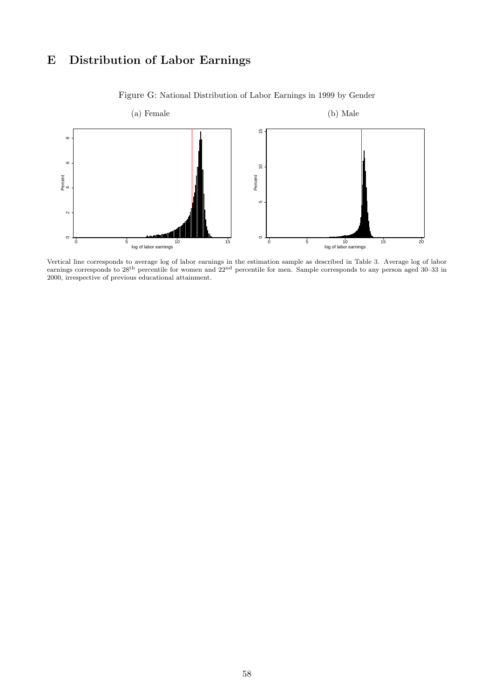## E Distribution of Labor Earnings

<span id="page-59-0"></span>

Figure G: National Distribution of Labor Earnings in 1999 by Gender

Vertical line corresponds to average log of labor earnings in the estimation sample as described in Table [3.](#page-31-0) Average log of labor earnings corresponds to 28<sup>th</sup> percentile for women and  $22<sup>nd</sup>$  percentile for men. Sample corresponds to any person aged 30–33 in 2000, irrespective of previous educational attainment.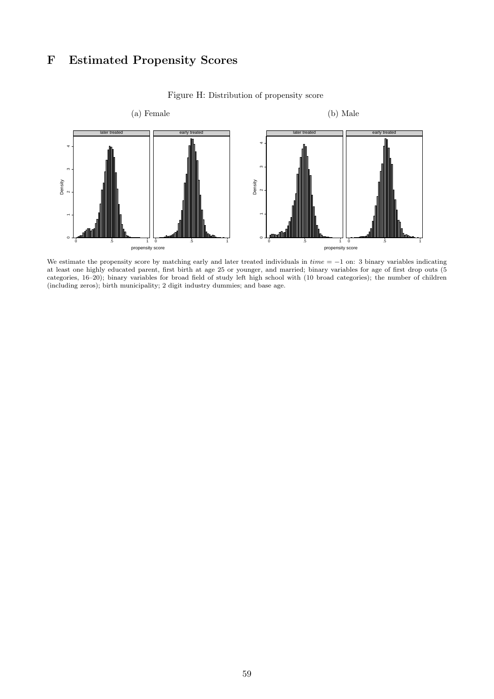## F Estimated Propensity Scores

<span id="page-60-0"></span>

Figure H: Distribution of propensity score

We estimate the propensity score by matching early and later treated individuals in  $time = -1$  on: 3 binary variables indicating at least one highly educated parent, first birth at age 25 or younger, and married; binary variables for age of first drop outs (5 categories, 16–20); binary variables for broad field of study left high school with (10 broad categories); the number of children (including zeros); birth municipality; 2 digit industry dummies; and base age.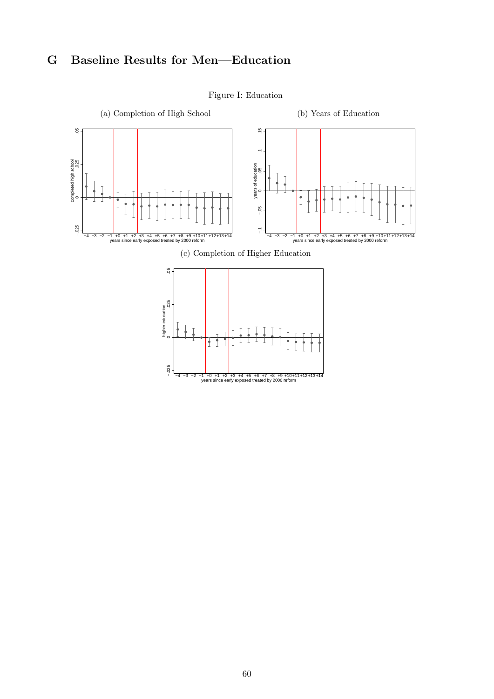## <span id="page-61-0"></span>G Baseline Results for Men—Education



#### Figure I: Education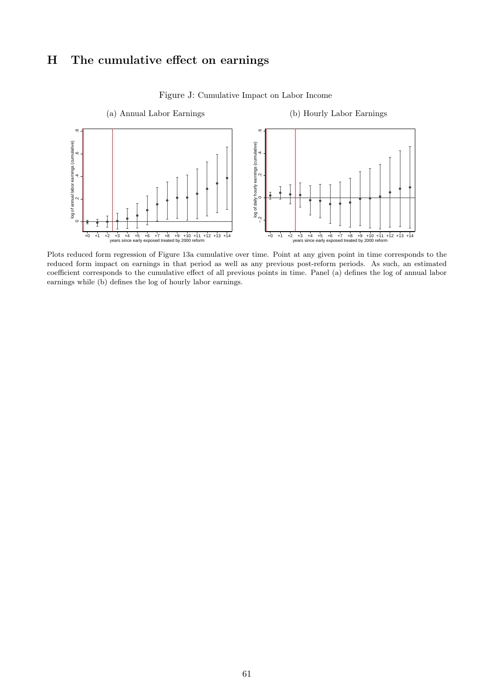## H The cumulative effect on earnings

<span id="page-62-0"></span>

Figure J: Cumulative Impact on Labor Income

Plots reduced form regression of Figure [13a](#page-35-0) cumulative over time. Point at any given point in time corresponds to the reduced form impact on earnings in that period as well as any previous post-reform periods. As such, an estimated coefficient corresponds to the cumulative effect of all previous points in time. Panel (a) defines the log of annual labor earnings while (b) defines the log of hourly labor earnings.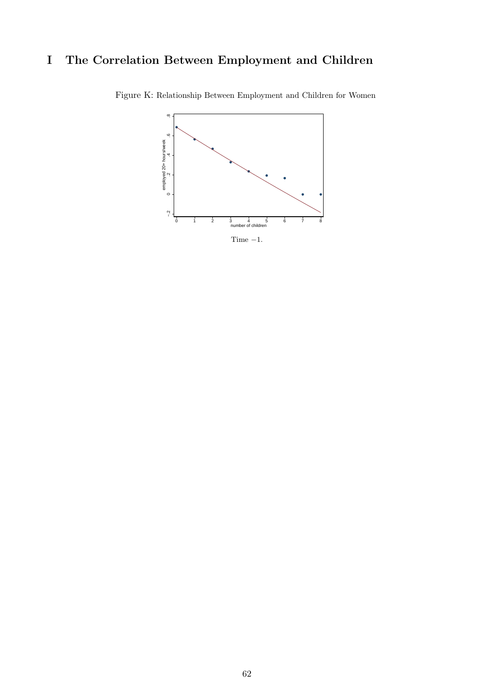## <span id="page-63-0"></span>I The Correlation Between Employment and Children



Figure K: Relationship Between Employment and Children for Women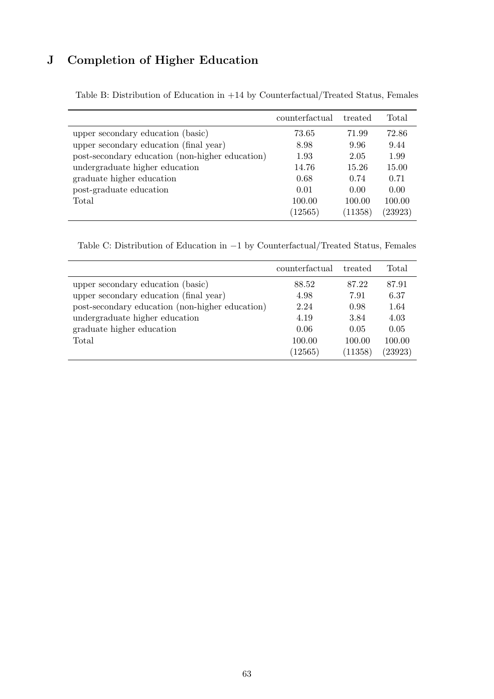## J Completion of Higher Education

|                                                 | counterfactual | treated | Total   |
|-------------------------------------------------|----------------|---------|---------|
| upper secondary education (basic)               | 73.65          | 71.99   | 72.86   |
| upper secondary education (final year)          | 8.98           | 9.96    | 9.44    |
| post-secondary education (non-higher education) | 1.93           | 2.05    | 1.99    |
| undergraduate higher education                  | 14.76          | 15.26   | 15.00   |
| graduate higher education                       | 0.68           | 0.74    | 0.71    |
| post-graduate education                         | 0.01           | 0.00    | 0.00    |
| Total                                           | 100.00         | 100.00  | 100.00  |
|                                                 | (12565)        | (11358) | (23923) |

<span id="page-64-0"></span>Table B: Distribution of Education in +14 by Counterfactual/Treated Status, Females

Table C: Distribution of Education in −1 by Counterfactual/Treated Status, Females

<span id="page-64-1"></span>

|                                                 | counterfactual | treated | Total   |
|-------------------------------------------------|----------------|---------|---------|
| upper secondary education (basic)               | 88.52          | 87.22   | 87.91   |
| upper secondary education (final year)          | 4.98           | 7.91    | 6.37    |
| post-secondary education (non-higher education) | 2.24           | 0.98    | 1.64    |
| undergraduate higher education                  | 4.19           | 3.84    | 4.03    |
| graduate higher education                       | 0.06           | 0.05    | 0.05    |
| Total                                           | 100.00         | 100.00  | 100.00  |
|                                                 | (12565)        | (11358) | (23923) |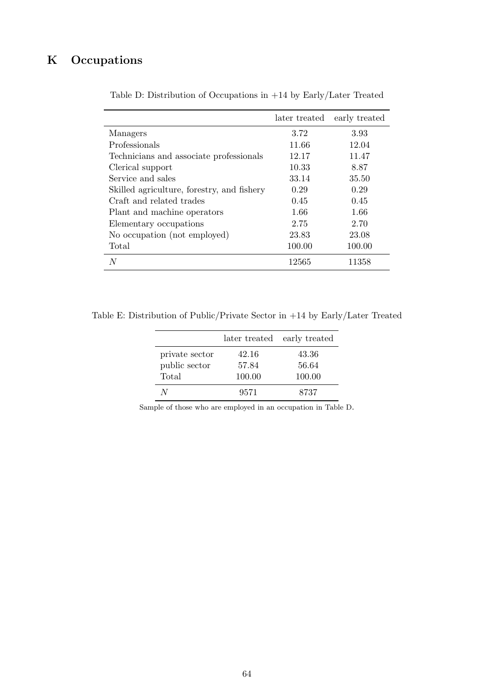## <span id="page-65-0"></span>K Occupations

|                                            | later treated | early treated |
|--------------------------------------------|---------------|---------------|
| Managers                                   | 3.72          | 3.93          |
| Professionals                              | 11.66         | 12.04         |
| Technicians and associate professionals    | 12.17         | 11.47         |
| Clerical support                           | 10.33         | 8.87          |
| Service and sales                          | 33.14         | 35.50         |
| Skilled agriculture, forestry, and fishery | 0.29          | 0.29          |
| Craft and related trades                   | 0.45          | 0.45          |
| Plant and machine operators                | 1.66          | 1.66          |
| Elementary occupations                     | 2.75          | 2.70          |
| No occupation (not employed)               | 23.83         | 23.08         |
| Total                                      | 100.00        | 100.00        |
| N                                          | 12565         | 11358         |

Table D: Distribution of Occupations in +14 by Early/Later Treated

Table E: Distribution of Public/Private Sector in +14 by Early/Later Treated

|                |        | later treated early treated |
|----------------|--------|-----------------------------|
| private sector | 42.16  | 43.36                       |
| public sector  | 57.84  | 56.64                       |
| Total          | 100.00 | 100.00                      |
| N              | 9571   | 8737                        |

Sample of those who are employed in an occupation in Table [D](#page-65-0).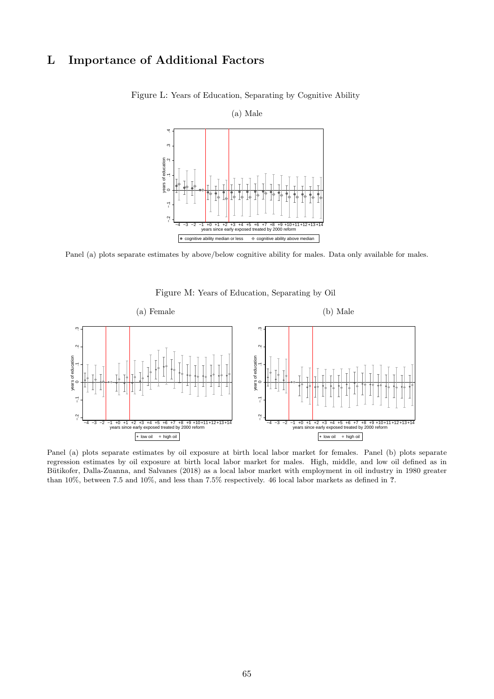## <span id="page-66-0"></span>L Importance of Additional Factors



Figure L: Years of Education, Separating by Cognitive Ability

Panel (a) plots separate estimates by above/below cognitive ability for males. Data only available for males.



<span id="page-66-1"></span>

Panel (a) plots separate estimates by oil exposure at birth local labor market for females. Panel (b) plots separate regression estimates by oil exposure at birth local labor market for males. High, middle, and low oil defined as in Bütikofer, Dalla-Zuanna, and Salvanes [\(2018\)](#page-50-9) as a local labor market with employment in oil industry in 1980 greater than 10%, between 7.5 and 10%, and less than 7.5% respectively. 46 local labor markets as defined in ?.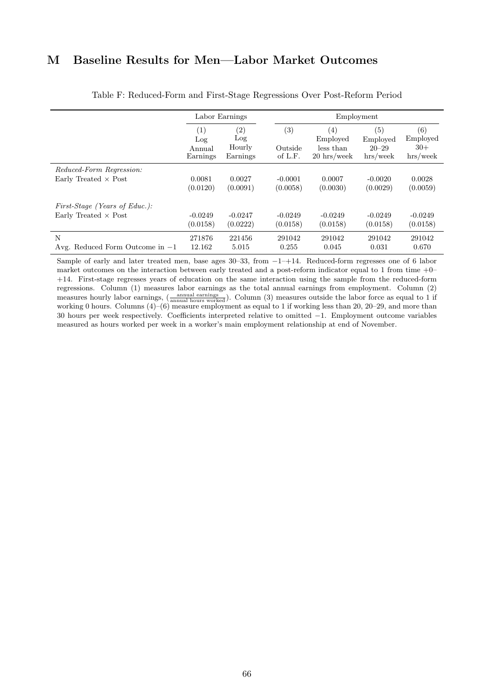## M Baseline Results for Men—Labor Market Outcomes

<span id="page-67-0"></span>

|                                        | Labor Earnings                   |                                                |                           | Employment                                                   |                                             |                                      |  |
|----------------------------------------|----------------------------------|------------------------------------------------|---------------------------|--------------------------------------------------------------|---------------------------------------------|--------------------------------------|--|
|                                        | (1)<br>Log<br>Annual<br>Earnings | $\left( 2\right)$<br>Log<br>Hourly<br>Earnings | (3)<br>Outside<br>of L.F. | (4)<br>Employed<br>less than<br>$20 \text{ hrs}/\text{week}$ | (5)<br>Employed<br>$20 - 29$<br>$hrs$ /week | (6)<br>Employed<br>$30+$<br>hrs/week |  |
| Reduced-Form Regression:               |                                  |                                                |                           |                                                              |                                             |                                      |  |
| Early Treated $\times$ Post            | 0.0081<br>(0.0120)               | 0.0027<br>(0.0091)                             | $-0.0001$<br>(0.0058)     | 0.0007<br>(0.0030)                                           | $-0.0020$<br>(0.0029)                       | 0.0028<br>(0.0059)                   |  |
| <i>First-Stage (Years of Educ.):</i>   |                                  |                                                |                           |                                                              |                                             |                                      |  |
| Early Treated $\times$ Post            | $-0.0249$<br>(0.0158)            | $-0.0247$<br>(0.0222)                          | $-0.0249$<br>(0.0158)     | $-0.0249$<br>(0.0158)                                        | $-0.0249$<br>(0.0158)                       | $-0.0249$<br>(0.0158)                |  |
| N<br>Avg. Reduced Form Outcome in $-1$ | 271876<br>12.162                 | 221456<br>5.015                                | 291042<br>0.255           | 291042<br>0.045                                              | 291042<br>0.031                             | 291042<br>0.670                      |  |

Table F: Reduced-Form and First-Stage Regressions Over Post-Reform Period

Sample of early and later treated men, base ages 30–33, from −1–+14. Reduced-form regresses one of 6 labor market outcomes on the interaction between early treated and a post-reform indicator equal to 1 from time +0– +14. First-stage regresses years of education on the same interaction using the sample from the reduced-form regressions. Column (1) measures labor earnings as the total annual earnings from employment. Column (2) measures hourly labor earnings,  $\left(\frac{\text{annual earnings}}{\text{annual hours worked}}\right)$ . Column (3) measures outside the labor force as equal to 1 if working 0 hours. Columns (4)–(6) measure employment as equal to 1 if working less than 20, 20–29, and more than 30 hours per week respectively. Coefficients interpreted relative to omitted −1. Employment outcome variables measured as hours worked per week in a worker's main employment relationship at end of November.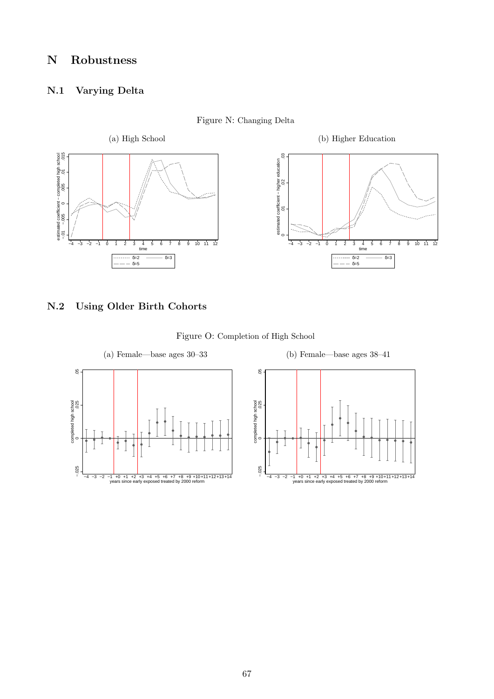## N Robustness

### N.1 Varying Delta

<span id="page-68-0"></span>

Figure N: Changing Delta

## N.2 Using Older Birth Cohorts

<span id="page-68-1"></span>

Figure O: Completion of High School